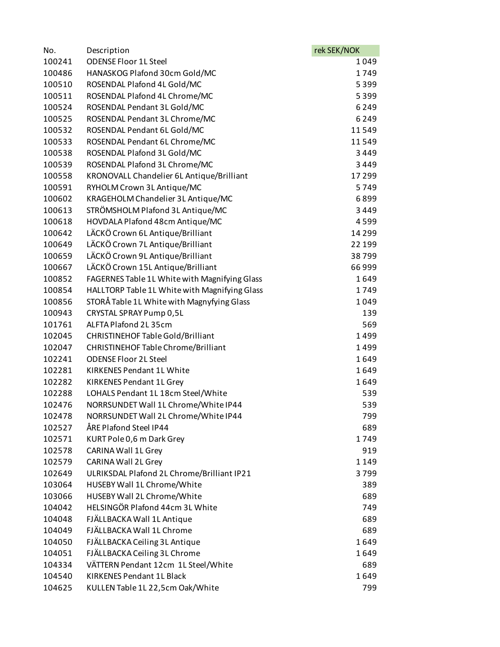| No.    | Description                                   | rek SEK/NOK |
|--------|-----------------------------------------------|-------------|
| 100241 | <b>ODENSE Floor 1L Steel</b>                  | 1049        |
| 100486 | HANASKOG Plafond 30cm Gold/MC                 | 1749        |
| 100510 | ROSENDAL Plafond 4L Gold/MC                   | 5399        |
| 100511 | ROSENDAL Plafond 4L Chrome/MC                 | 5399        |
| 100524 | ROSENDAL Pendant 3L Gold/MC                   | 6249        |
| 100525 | ROSENDAL Pendant 3L Chrome/MC                 | 6249        |
| 100532 | ROSENDAL Pendant 6L Gold/MC                   | 11549       |
| 100533 | ROSENDAL Pendant 6L Chrome/MC                 | 11549       |
| 100538 | ROSENDAL Plafond 3L Gold/MC                   | 3449        |
| 100539 | ROSENDAL Plafond 3L Chrome/MC                 | 3449        |
| 100558 | KRONOVALL Chandelier 6L Antique/Brilliant     | 17299       |
| 100591 | RYHOLM Crown 3L Antique/MC                    | 5749        |
| 100602 | KRAGEHOLM Chandelier 3L Antique/MC            | 6899        |
| 100613 | STRÖMSHOLM Plafond 3L Antique/MC              | 3449        |
| 100618 | HOVDALA Plafond 48cm Antique/MC               | 4599        |
| 100642 | LÄCKÖ Crown 6L Antique/Brilliant              | 14 2 9 9    |
| 100649 | LÄCKÖ Crown 7L Antique/Brilliant              | 22 199      |
| 100659 | LÄCKÖ Crown 9L Antique/Brilliant              | 38799       |
| 100667 | LÄCKÖ Crown 15L Antique/Brilliant             | 66999       |
| 100852 | FAGERNES Table 1L White with Magnifying Glass | 1649        |
| 100854 | HALLTORP Table 1L White with Magnifying Glass | 1749        |
| 100856 | STORÅ Table 1L White with Magnyfying Glass    | 1049        |
| 100943 | CRYSTAL SPRAY Pump 0,5L                       | 139         |
| 101761 | ALFTA Plafond 2L 35cm                         | 569         |
| 102045 | CHRISTINEHOF Table Gold/Brilliant             | 1499        |
| 102047 | CHRISTINEHOF Table Chrome/Brilliant           | 1499        |
| 102241 | <b>ODENSE Floor 2L Steel</b>                  | 1649        |
| 102281 | <b>KIRKENES Pendant 1L White</b>              | 1649        |
| 102282 | KIRKENES Pendant 1L Grey                      | 1649        |
| 102288 | LOHALS Pendant 1L 18cm Steel/White            | 539         |
| 102476 | NORRSUNDET Wall 1L Chrome/White IP44          | 539         |
| 102478 | NORRSUNDET Wall 2L Chrome/White IP44          | 799         |
| 102527 | ÅRE Plafond Steel IP44                        | 689         |
| 102571 | KURT Pole 0,6 m Dark Grey                     | 1749        |
| 102578 | CARINA Wall 1L Grey                           | 919         |
| 102579 | CARINA Wall 2L Grey                           | 1149        |
| 102649 | ULRIKSDAL Plafond 2L Chrome/Brilliant IP21    | 3799        |
| 103064 | HUSEBY Wall 1L Chrome/White                   | 389         |
| 103066 | HUSEBY Wall 2L Chrome/White                   | 689         |
| 104042 | HELSINGÖR Plafond 44cm 3L White               | 749         |
| 104048 | FJÄLLBACKA Wall 1L Antique                    | 689         |
| 104049 | FJÄLLBACKA Wall 1L Chrome                     | 689         |
| 104050 | FJÄLLBACKA Ceiling 3L Antique                 | 1649        |
| 104051 | FJÄLLBACKA Ceiling 3L Chrome                  | 1649        |
| 104334 | VÄTTERN Pendant 12cm 1L Steel/White           | 689         |
| 104540 | <b>KIRKENES Pendant 1L Black</b>              | 1649        |
| 104625 | KULLEN Table 1L 22,5cm Oak/White              | 799         |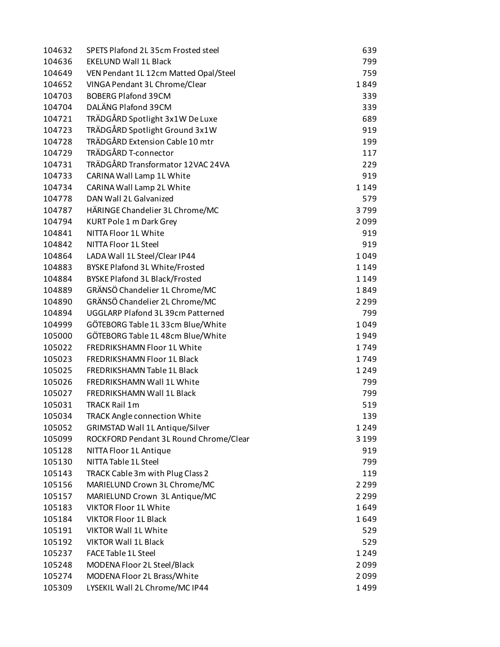| 104632           | SPETS Plafond 2L 35cm Frosted steel    | 639     |
|------------------|----------------------------------------|---------|
| 104636           | <b>EKELUND Wall 1L Black</b>           | 799     |
| 104649           | VEN Pendant 1L 12cm Matted Opal/Steel  | 759     |
| 104652           | VINGA Pendant 3L Chrome/Clear          | 1849    |
| 104703           | <b>BOBERG Plafond 39CM</b>             | 339     |
| 104704           | DALÄNG Plafond 39CM                    | 339     |
| 104721           | TRÄDGÅRD Spotlight 3x1W De Luxe        | 689     |
| 104723           | TRÄDGÅRD Spotlight Ground 3x1W         | 919     |
| 104728           | TRÄDGÅRD Extension Cable 10 mtr        | 199     |
| 104729           | TRÄDGÅRD T-connector                   | 117     |
| 104731           | TRÄDGÅRD Transformator 12VAC 24VA      | 229     |
| 104733           | CARINA Wall Lamp 1L White              | 919     |
| 104734           | CARINA Wall Lamp 2L White              | 1149    |
| 104778           | DAN Wall 2L Galvanized                 | 579     |
| 104787           | HÄRINGE Chandelier 3L Chrome/MC        | 3799    |
| 104794           | <b>KURT Pole 1 m Dark Grey</b>         | 2099    |
| 104841           | NITTA Floor 1L White                   | 919     |
| 104842           | NITTA Floor 1L Steel                   | 919     |
| 104864           | LADA Wall 1L Steel/Clear IP44          | 1049    |
|                  | <b>BYSKE Plafond 3L White/Frosted</b>  |         |
| 104883<br>104884 |                                        | 1149    |
|                  | <b>BYSKE Plafond 3L Black/Frosted</b>  | 1149    |
| 104889           | GRÄNSÖ Chandelier 1L Chrome/MC         | 1849    |
| 104890           | GRÄNSÖ Chandelier 2L Chrome/MC         | 2 2 9 9 |
| 104894           | UGGLARP Plafond 3L 39cm Patterned      | 799     |
| 104999           | GÖTEBORG Table 1L 33cm Blue/White      | 1049    |
| 105000           | GÖTEBORG Table 1L 48cm Blue/White      | 1949    |
| 105022           | FREDRIKSHAMN Floor 1L White            | 1749    |
| 105023           | FREDRIKSHAMN Floor 1L Black            | 1749    |
| 105025           | FREDRIKSHAMN Table 1L Black            | 1249    |
| 105026           | <b>FREDRIKSHAMN Wall 1L White</b>      | 799     |
| 105027           | FREDRIKSHAMN Wall 1L Black             | 799     |
| 105031           | <b>TRACK Rail 1m</b>                   | 519     |
| 105034           | <b>TRACK Angle connection White</b>    | 139     |
| 105052           | <b>GRIMSTAD Wall 1L Antique/Silver</b> | 1249    |
| 105099           | ROCKFORD Pendant 3L Round Chrome/Clear | 3 1 9 9 |
| 105128           | NITTA Floor 1L Antique                 | 919     |
| 105130           | NITTA Table 1L Steel                   | 799     |
| 105143           | TRACK Cable 3m with Plug Class 2       | 119     |
| 105156           | MARIELUND Crown 3L Chrome/MC           | 2 2 9 9 |
| 105157           | MARIELUND Crown 3L Antique/MC          | 2 2 9 9 |
| 105183           | <b>VIKTOR Floor 1L White</b>           | 1649    |
| 105184           | <b>VIKTOR Floor 1L Black</b>           | 1649    |
| 105191           | <b>VIKTOR Wall 1L White</b>            | 529     |
| 105192           | <b>VIKTOR Wall 1L Black</b>            | 529     |
| 105237           | FACE Table 1L Steel                    | 1249    |
| 105248           | MODENA Floor 2L Steel/Black            | 2099    |
| 105274           | MODENA Floor 2L Brass/White            | 2099    |
| 105309           | LYSEKIL Wall 2L Chrome/MC IP44         | 1499    |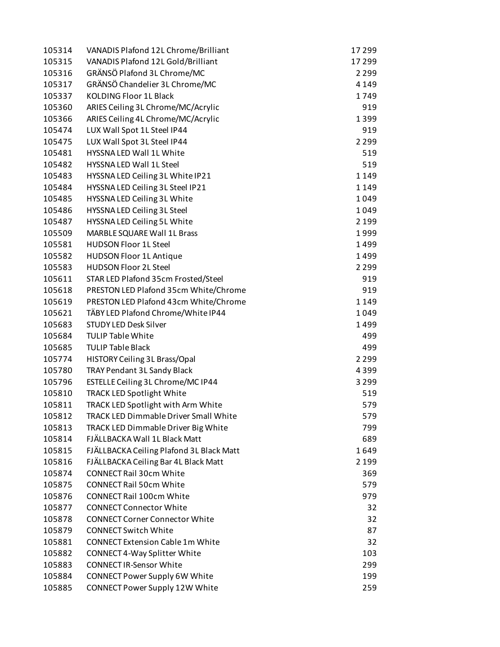| 105315<br>VANADIS Plafond 12L Gold/Brilliant<br>17 299<br>GRÄNSÖ Plafond 3L Chrome/MC<br>105316<br>2 2 9 9<br>105317<br>GRÄNSÖ Chandelier 3L Chrome/MC<br>4 1 4 9<br>105337<br><b>KOLDING Floor 1L Black</b><br>1749<br>ARIES Ceiling 3L Chrome/MC/Acrylic<br>105360<br>919<br>ARIES Ceiling 4L Chrome/MC/Acrylic<br>105366<br>1399<br>LUX Wall Spot 1L Steel IP44<br>105474<br>919<br>LUX Wall Spot 3L Steel IP44<br>2 2 9 9<br>105475<br>105481<br>HYSSNA LED Wall 1L White<br>519<br>105482<br><b>HYSSNA LED Wall 1L Steel</b><br>519<br>1149<br>105483<br>HYSSNA LED Ceiling 3L White IP21<br>HYSSNA LED Ceiling 3L Steel IP21<br>1149<br>105484<br>HYSSNA LED Ceiling 3L White<br>105485<br>1049<br>HYSSNA LED Ceiling 3L Steel<br>105486<br>1049<br>105487<br>HYSSNA LED Ceiling 5L White<br>2 1 9 9<br>MARBLE SQUARE Wall 1L Brass<br>105509<br>1999<br><b>HUDSON Floor 1L Steel</b><br>105581<br>1499<br><b>HUDSON Floor 1L Antique</b><br>1499<br>105582<br><b>HUDSON Floor 2L Steel</b><br>105583<br>2 2 9 9<br>STAR LED Plafond 35cm Frosted/Steel<br>105611<br>919<br>105618<br>PRESTON LED Plafond 35cm White/Chrome<br>919<br>105619<br>PRESTON LED Plafond 43cm White/Chrome<br>1149<br>1049<br>105621<br>TÄBY LED Plafond Chrome/White IP44<br>105683<br><b>STUDY LED Desk Silver</b><br>1499<br>105684<br><b>TULIP Table White</b><br>499<br>105685<br><b>TULIP Table Black</b><br>499<br>HISTORY Ceiling 3L Brass/Opal<br>2 2 9 9<br>105774<br>TRAY Pendant 3L Sandy Black<br>105780<br>4399<br>ESTELLE Ceiling 3L Chrome/MC IP44<br>3 2 9 9<br>105796<br>TRACK LED Spotlight White<br>519<br>105810<br>TRACK LED Spotlight with Arm White<br>579<br>105811<br><b>TRACK LED Dimmable Driver Small White</b><br>105812<br>579<br>105813<br>TRACK LED Dimmable Driver Big White<br>799<br>FJÄLLBACKA Wall 1L Black Matt<br>689<br>105814<br>FJÄLLBACKA Ceiling Plafond 3L Black Matt<br>1649<br>105815<br>105816<br>FJÄLLBACKA Ceiling Bar 4L Black Matt<br>2 1 9 9<br><b>CONNECT Rail 30cm White</b><br>105874<br>369<br><b>CONNECT Rail 50cm White</b><br>105875<br>579<br><b>CONNECT Rail 100cm White</b><br>105876<br>979<br><b>CONNECT Connector White</b><br>105877<br>32<br><b>CONNECT Corner Connector White</b><br>32<br>105878<br>105879<br><b>CONNECT Switch White</b><br>87<br><b>CONNECT Extension Cable 1m White</b><br>105881<br>32<br>CONNECT 4-Way Splitter White<br>103<br>105882<br><b>CONNECT IR-Sensor White</b><br>105883<br>299<br>CONNECT Power Supply 6W White<br>105884<br>199<br>CONNECT Power Supply 12W White<br>259<br>105885 | 105314 | VANADIS Plafond 12L Chrome/Brilliant | 17299 |
|-----------------------------------------------------------------------------------------------------------------------------------------------------------------------------------------------------------------------------------------------------------------------------------------------------------------------------------------------------------------------------------------------------------------------------------------------------------------------------------------------------------------------------------------------------------------------------------------------------------------------------------------------------------------------------------------------------------------------------------------------------------------------------------------------------------------------------------------------------------------------------------------------------------------------------------------------------------------------------------------------------------------------------------------------------------------------------------------------------------------------------------------------------------------------------------------------------------------------------------------------------------------------------------------------------------------------------------------------------------------------------------------------------------------------------------------------------------------------------------------------------------------------------------------------------------------------------------------------------------------------------------------------------------------------------------------------------------------------------------------------------------------------------------------------------------------------------------------------------------------------------------------------------------------------------------------------------------------------------------------------------------------------------------------------------------------------------------------------------------------------------------------------------------------------------------------------------------------------------------------------------------------------------------------------------------------------------------------------------------------------------------------------------------------------------------------------------------------------------------------------------------------------------------------------------------------------------|--------|--------------------------------------|-------|
|                                                                                                                                                                                                                                                                                                                                                                                                                                                                                                                                                                                                                                                                                                                                                                                                                                                                                                                                                                                                                                                                                                                                                                                                                                                                                                                                                                                                                                                                                                                                                                                                                                                                                                                                                                                                                                                                                                                                                                                                                                                                                                                                                                                                                                                                                                                                                                                                                                                                                                                                                                             |        |                                      |       |
|                                                                                                                                                                                                                                                                                                                                                                                                                                                                                                                                                                                                                                                                                                                                                                                                                                                                                                                                                                                                                                                                                                                                                                                                                                                                                                                                                                                                                                                                                                                                                                                                                                                                                                                                                                                                                                                                                                                                                                                                                                                                                                                                                                                                                                                                                                                                                                                                                                                                                                                                                                             |        |                                      |       |
|                                                                                                                                                                                                                                                                                                                                                                                                                                                                                                                                                                                                                                                                                                                                                                                                                                                                                                                                                                                                                                                                                                                                                                                                                                                                                                                                                                                                                                                                                                                                                                                                                                                                                                                                                                                                                                                                                                                                                                                                                                                                                                                                                                                                                                                                                                                                                                                                                                                                                                                                                                             |        |                                      |       |
|                                                                                                                                                                                                                                                                                                                                                                                                                                                                                                                                                                                                                                                                                                                                                                                                                                                                                                                                                                                                                                                                                                                                                                                                                                                                                                                                                                                                                                                                                                                                                                                                                                                                                                                                                                                                                                                                                                                                                                                                                                                                                                                                                                                                                                                                                                                                                                                                                                                                                                                                                                             |        |                                      |       |
|                                                                                                                                                                                                                                                                                                                                                                                                                                                                                                                                                                                                                                                                                                                                                                                                                                                                                                                                                                                                                                                                                                                                                                                                                                                                                                                                                                                                                                                                                                                                                                                                                                                                                                                                                                                                                                                                                                                                                                                                                                                                                                                                                                                                                                                                                                                                                                                                                                                                                                                                                                             |        |                                      |       |
|                                                                                                                                                                                                                                                                                                                                                                                                                                                                                                                                                                                                                                                                                                                                                                                                                                                                                                                                                                                                                                                                                                                                                                                                                                                                                                                                                                                                                                                                                                                                                                                                                                                                                                                                                                                                                                                                                                                                                                                                                                                                                                                                                                                                                                                                                                                                                                                                                                                                                                                                                                             |        |                                      |       |
|                                                                                                                                                                                                                                                                                                                                                                                                                                                                                                                                                                                                                                                                                                                                                                                                                                                                                                                                                                                                                                                                                                                                                                                                                                                                                                                                                                                                                                                                                                                                                                                                                                                                                                                                                                                                                                                                                                                                                                                                                                                                                                                                                                                                                                                                                                                                                                                                                                                                                                                                                                             |        |                                      |       |
|                                                                                                                                                                                                                                                                                                                                                                                                                                                                                                                                                                                                                                                                                                                                                                                                                                                                                                                                                                                                                                                                                                                                                                                                                                                                                                                                                                                                                                                                                                                                                                                                                                                                                                                                                                                                                                                                                                                                                                                                                                                                                                                                                                                                                                                                                                                                                                                                                                                                                                                                                                             |        |                                      |       |
|                                                                                                                                                                                                                                                                                                                                                                                                                                                                                                                                                                                                                                                                                                                                                                                                                                                                                                                                                                                                                                                                                                                                                                                                                                                                                                                                                                                                                                                                                                                                                                                                                                                                                                                                                                                                                                                                                                                                                                                                                                                                                                                                                                                                                                                                                                                                                                                                                                                                                                                                                                             |        |                                      |       |
|                                                                                                                                                                                                                                                                                                                                                                                                                                                                                                                                                                                                                                                                                                                                                                                                                                                                                                                                                                                                                                                                                                                                                                                                                                                                                                                                                                                                                                                                                                                                                                                                                                                                                                                                                                                                                                                                                                                                                                                                                                                                                                                                                                                                                                                                                                                                                                                                                                                                                                                                                                             |        |                                      |       |
|                                                                                                                                                                                                                                                                                                                                                                                                                                                                                                                                                                                                                                                                                                                                                                                                                                                                                                                                                                                                                                                                                                                                                                                                                                                                                                                                                                                                                                                                                                                                                                                                                                                                                                                                                                                                                                                                                                                                                                                                                                                                                                                                                                                                                                                                                                                                                                                                                                                                                                                                                                             |        |                                      |       |
|                                                                                                                                                                                                                                                                                                                                                                                                                                                                                                                                                                                                                                                                                                                                                                                                                                                                                                                                                                                                                                                                                                                                                                                                                                                                                                                                                                                                                                                                                                                                                                                                                                                                                                                                                                                                                                                                                                                                                                                                                                                                                                                                                                                                                                                                                                                                                                                                                                                                                                                                                                             |        |                                      |       |
|                                                                                                                                                                                                                                                                                                                                                                                                                                                                                                                                                                                                                                                                                                                                                                                                                                                                                                                                                                                                                                                                                                                                                                                                                                                                                                                                                                                                                                                                                                                                                                                                                                                                                                                                                                                                                                                                                                                                                                                                                                                                                                                                                                                                                                                                                                                                                                                                                                                                                                                                                                             |        |                                      |       |
|                                                                                                                                                                                                                                                                                                                                                                                                                                                                                                                                                                                                                                                                                                                                                                                                                                                                                                                                                                                                                                                                                                                                                                                                                                                                                                                                                                                                                                                                                                                                                                                                                                                                                                                                                                                                                                                                                                                                                                                                                                                                                                                                                                                                                                                                                                                                                                                                                                                                                                                                                                             |        |                                      |       |
|                                                                                                                                                                                                                                                                                                                                                                                                                                                                                                                                                                                                                                                                                                                                                                                                                                                                                                                                                                                                                                                                                                                                                                                                                                                                                                                                                                                                                                                                                                                                                                                                                                                                                                                                                                                                                                                                                                                                                                                                                                                                                                                                                                                                                                                                                                                                                                                                                                                                                                                                                                             |        |                                      |       |
|                                                                                                                                                                                                                                                                                                                                                                                                                                                                                                                                                                                                                                                                                                                                                                                                                                                                                                                                                                                                                                                                                                                                                                                                                                                                                                                                                                                                                                                                                                                                                                                                                                                                                                                                                                                                                                                                                                                                                                                                                                                                                                                                                                                                                                                                                                                                                                                                                                                                                                                                                                             |        |                                      |       |
|                                                                                                                                                                                                                                                                                                                                                                                                                                                                                                                                                                                                                                                                                                                                                                                                                                                                                                                                                                                                                                                                                                                                                                                                                                                                                                                                                                                                                                                                                                                                                                                                                                                                                                                                                                                                                                                                                                                                                                                                                                                                                                                                                                                                                                                                                                                                                                                                                                                                                                                                                                             |        |                                      |       |
|                                                                                                                                                                                                                                                                                                                                                                                                                                                                                                                                                                                                                                                                                                                                                                                                                                                                                                                                                                                                                                                                                                                                                                                                                                                                                                                                                                                                                                                                                                                                                                                                                                                                                                                                                                                                                                                                                                                                                                                                                                                                                                                                                                                                                                                                                                                                                                                                                                                                                                                                                                             |        |                                      |       |
|                                                                                                                                                                                                                                                                                                                                                                                                                                                                                                                                                                                                                                                                                                                                                                                                                                                                                                                                                                                                                                                                                                                                                                                                                                                                                                                                                                                                                                                                                                                                                                                                                                                                                                                                                                                                                                                                                                                                                                                                                                                                                                                                                                                                                                                                                                                                                                                                                                                                                                                                                                             |        |                                      |       |
|                                                                                                                                                                                                                                                                                                                                                                                                                                                                                                                                                                                                                                                                                                                                                                                                                                                                                                                                                                                                                                                                                                                                                                                                                                                                                                                                                                                                                                                                                                                                                                                                                                                                                                                                                                                                                                                                                                                                                                                                                                                                                                                                                                                                                                                                                                                                                                                                                                                                                                                                                                             |        |                                      |       |
|                                                                                                                                                                                                                                                                                                                                                                                                                                                                                                                                                                                                                                                                                                                                                                                                                                                                                                                                                                                                                                                                                                                                                                                                                                                                                                                                                                                                                                                                                                                                                                                                                                                                                                                                                                                                                                                                                                                                                                                                                                                                                                                                                                                                                                                                                                                                                                                                                                                                                                                                                                             |        |                                      |       |
|                                                                                                                                                                                                                                                                                                                                                                                                                                                                                                                                                                                                                                                                                                                                                                                                                                                                                                                                                                                                                                                                                                                                                                                                                                                                                                                                                                                                                                                                                                                                                                                                                                                                                                                                                                                                                                                                                                                                                                                                                                                                                                                                                                                                                                                                                                                                                                                                                                                                                                                                                                             |        |                                      |       |
|                                                                                                                                                                                                                                                                                                                                                                                                                                                                                                                                                                                                                                                                                                                                                                                                                                                                                                                                                                                                                                                                                                                                                                                                                                                                                                                                                                                                                                                                                                                                                                                                                                                                                                                                                                                                                                                                                                                                                                                                                                                                                                                                                                                                                                                                                                                                                                                                                                                                                                                                                                             |        |                                      |       |
|                                                                                                                                                                                                                                                                                                                                                                                                                                                                                                                                                                                                                                                                                                                                                                                                                                                                                                                                                                                                                                                                                                                                                                                                                                                                                                                                                                                                                                                                                                                                                                                                                                                                                                                                                                                                                                                                                                                                                                                                                                                                                                                                                                                                                                                                                                                                                                                                                                                                                                                                                                             |        |                                      |       |
|                                                                                                                                                                                                                                                                                                                                                                                                                                                                                                                                                                                                                                                                                                                                                                                                                                                                                                                                                                                                                                                                                                                                                                                                                                                                                                                                                                                                                                                                                                                                                                                                                                                                                                                                                                                                                                                                                                                                                                                                                                                                                                                                                                                                                                                                                                                                                                                                                                                                                                                                                                             |        |                                      |       |
|                                                                                                                                                                                                                                                                                                                                                                                                                                                                                                                                                                                                                                                                                                                                                                                                                                                                                                                                                                                                                                                                                                                                                                                                                                                                                                                                                                                                                                                                                                                                                                                                                                                                                                                                                                                                                                                                                                                                                                                                                                                                                                                                                                                                                                                                                                                                                                                                                                                                                                                                                                             |        |                                      |       |
|                                                                                                                                                                                                                                                                                                                                                                                                                                                                                                                                                                                                                                                                                                                                                                                                                                                                                                                                                                                                                                                                                                                                                                                                                                                                                                                                                                                                                                                                                                                                                                                                                                                                                                                                                                                                                                                                                                                                                                                                                                                                                                                                                                                                                                                                                                                                                                                                                                                                                                                                                                             |        |                                      |       |
|                                                                                                                                                                                                                                                                                                                                                                                                                                                                                                                                                                                                                                                                                                                                                                                                                                                                                                                                                                                                                                                                                                                                                                                                                                                                                                                                                                                                                                                                                                                                                                                                                                                                                                                                                                                                                                                                                                                                                                                                                                                                                                                                                                                                                                                                                                                                                                                                                                                                                                                                                                             |        |                                      |       |
|                                                                                                                                                                                                                                                                                                                                                                                                                                                                                                                                                                                                                                                                                                                                                                                                                                                                                                                                                                                                                                                                                                                                                                                                                                                                                                                                                                                                                                                                                                                                                                                                                                                                                                                                                                                                                                                                                                                                                                                                                                                                                                                                                                                                                                                                                                                                                                                                                                                                                                                                                                             |        |                                      |       |
|                                                                                                                                                                                                                                                                                                                                                                                                                                                                                                                                                                                                                                                                                                                                                                                                                                                                                                                                                                                                                                                                                                                                                                                                                                                                                                                                                                                                                                                                                                                                                                                                                                                                                                                                                                                                                                                                                                                                                                                                                                                                                                                                                                                                                                                                                                                                                                                                                                                                                                                                                                             |        |                                      |       |
|                                                                                                                                                                                                                                                                                                                                                                                                                                                                                                                                                                                                                                                                                                                                                                                                                                                                                                                                                                                                                                                                                                                                                                                                                                                                                                                                                                                                                                                                                                                                                                                                                                                                                                                                                                                                                                                                                                                                                                                                                                                                                                                                                                                                                                                                                                                                                                                                                                                                                                                                                                             |        |                                      |       |
|                                                                                                                                                                                                                                                                                                                                                                                                                                                                                                                                                                                                                                                                                                                                                                                                                                                                                                                                                                                                                                                                                                                                                                                                                                                                                                                                                                                                                                                                                                                                                                                                                                                                                                                                                                                                                                                                                                                                                                                                                                                                                                                                                                                                                                                                                                                                                                                                                                                                                                                                                                             |        |                                      |       |
|                                                                                                                                                                                                                                                                                                                                                                                                                                                                                                                                                                                                                                                                                                                                                                                                                                                                                                                                                                                                                                                                                                                                                                                                                                                                                                                                                                                                                                                                                                                                                                                                                                                                                                                                                                                                                                                                                                                                                                                                                                                                                                                                                                                                                                                                                                                                                                                                                                                                                                                                                                             |        |                                      |       |
|                                                                                                                                                                                                                                                                                                                                                                                                                                                                                                                                                                                                                                                                                                                                                                                                                                                                                                                                                                                                                                                                                                                                                                                                                                                                                                                                                                                                                                                                                                                                                                                                                                                                                                                                                                                                                                                                                                                                                                                                                                                                                                                                                                                                                                                                                                                                                                                                                                                                                                                                                                             |        |                                      |       |
|                                                                                                                                                                                                                                                                                                                                                                                                                                                                                                                                                                                                                                                                                                                                                                                                                                                                                                                                                                                                                                                                                                                                                                                                                                                                                                                                                                                                                                                                                                                                                                                                                                                                                                                                                                                                                                                                                                                                                                                                                                                                                                                                                                                                                                                                                                                                                                                                                                                                                                                                                                             |        |                                      |       |
|                                                                                                                                                                                                                                                                                                                                                                                                                                                                                                                                                                                                                                                                                                                                                                                                                                                                                                                                                                                                                                                                                                                                                                                                                                                                                                                                                                                                                                                                                                                                                                                                                                                                                                                                                                                                                                                                                                                                                                                                                                                                                                                                                                                                                                                                                                                                                                                                                                                                                                                                                                             |        |                                      |       |
|                                                                                                                                                                                                                                                                                                                                                                                                                                                                                                                                                                                                                                                                                                                                                                                                                                                                                                                                                                                                                                                                                                                                                                                                                                                                                                                                                                                                                                                                                                                                                                                                                                                                                                                                                                                                                                                                                                                                                                                                                                                                                                                                                                                                                                                                                                                                                                                                                                                                                                                                                                             |        |                                      |       |
|                                                                                                                                                                                                                                                                                                                                                                                                                                                                                                                                                                                                                                                                                                                                                                                                                                                                                                                                                                                                                                                                                                                                                                                                                                                                                                                                                                                                                                                                                                                                                                                                                                                                                                                                                                                                                                                                                                                                                                                                                                                                                                                                                                                                                                                                                                                                                                                                                                                                                                                                                                             |        |                                      |       |
|                                                                                                                                                                                                                                                                                                                                                                                                                                                                                                                                                                                                                                                                                                                                                                                                                                                                                                                                                                                                                                                                                                                                                                                                                                                                                                                                                                                                                                                                                                                                                                                                                                                                                                                                                                                                                                                                                                                                                                                                                                                                                                                                                                                                                                                                                                                                                                                                                                                                                                                                                                             |        |                                      |       |
|                                                                                                                                                                                                                                                                                                                                                                                                                                                                                                                                                                                                                                                                                                                                                                                                                                                                                                                                                                                                                                                                                                                                                                                                                                                                                                                                                                                                                                                                                                                                                                                                                                                                                                                                                                                                                                                                                                                                                                                                                                                                                                                                                                                                                                                                                                                                                                                                                                                                                                                                                                             |        |                                      |       |
|                                                                                                                                                                                                                                                                                                                                                                                                                                                                                                                                                                                                                                                                                                                                                                                                                                                                                                                                                                                                                                                                                                                                                                                                                                                                                                                                                                                                                                                                                                                                                                                                                                                                                                                                                                                                                                                                                                                                                                                                                                                                                                                                                                                                                                                                                                                                                                                                                                                                                                                                                                             |        |                                      |       |
|                                                                                                                                                                                                                                                                                                                                                                                                                                                                                                                                                                                                                                                                                                                                                                                                                                                                                                                                                                                                                                                                                                                                                                                                                                                                                                                                                                                                                                                                                                                                                                                                                                                                                                                                                                                                                                                                                                                                                                                                                                                                                                                                                                                                                                                                                                                                                                                                                                                                                                                                                                             |        |                                      |       |
|                                                                                                                                                                                                                                                                                                                                                                                                                                                                                                                                                                                                                                                                                                                                                                                                                                                                                                                                                                                                                                                                                                                                                                                                                                                                                                                                                                                                                                                                                                                                                                                                                                                                                                                                                                                                                                                                                                                                                                                                                                                                                                                                                                                                                                                                                                                                                                                                                                                                                                                                                                             |        |                                      |       |
|                                                                                                                                                                                                                                                                                                                                                                                                                                                                                                                                                                                                                                                                                                                                                                                                                                                                                                                                                                                                                                                                                                                                                                                                                                                                                                                                                                                                                                                                                                                                                                                                                                                                                                                                                                                                                                                                                                                                                                                                                                                                                                                                                                                                                                                                                                                                                                                                                                                                                                                                                                             |        |                                      |       |
|                                                                                                                                                                                                                                                                                                                                                                                                                                                                                                                                                                                                                                                                                                                                                                                                                                                                                                                                                                                                                                                                                                                                                                                                                                                                                                                                                                                                                                                                                                                                                                                                                                                                                                                                                                                                                                                                                                                                                                                                                                                                                                                                                                                                                                                                                                                                                                                                                                                                                                                                                                             |        |                                      |       |
|                                                                                                                                                                                                                                                                                                                                                                                                                                                                                                                                                                                                                                                                                                                                                                                                                                                                                                                                                                                                                                                                                                                                                                                                                                                                                                                                                                                                                                                                                                                                                                                                                                                                                                                                                                                                                                                                                                                                                                                                                                                                                                                                                                                                                                                                                                                                                                                                                                                                                                                                                                             |        |                                      |       |
|                                                                                                                                                                                                                                                                                                                                                                                                                                                                                                                                                                                                                                                                                                                                                                                                                                                                                                                                                                                                                                                                                                                                                                                                                                                                                                                                                                                                                                                                                                                                                                                                                                                                                                                                                                                                                                                                                                                                                                                                                                                                                                                                                                                                                                                                                                                                                                                                                                                                                                                                                                             |        |                                      |       |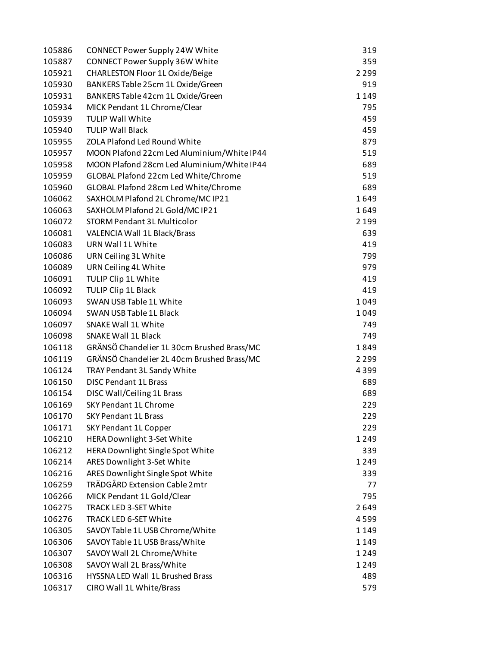| 105886 | CONNECT Power Supply 24W White             | 319     |
|--------|--------------------------------------------|---------|
| 105887 | CONNECT Power Supply 36W White             | 359     |
| 105921 | CHARLESTON Floor 1L Oxide/Beige            | 2 2 9 9 |
| 105930 | BANKERS Table 25cm 1L Oxide/Green          | 919     |
| 105931 | BANKERS Table 42cm 1L Oxide/Green          | 1149    |
| 105934 | MICK Pendant 1L Chrome/Clear               | 795     |
| 105939 | <b>TULIP Wall White</b>                    | 459     |
| 105940 | <b>TULIP Wall Black</b>                    | 459     |
| 105955 | <b>ZOLA Plafond Led Round White</b>        | 879     |
| 105957 | MOON Plafond 22cm Led Aluminium/White IP44 | 519     |
| 105958 | MOON Plafond 28cm Led Aluminium/White IP44 | 689     |
| 105959 | GLOBAL Plafond 22cm Led White/Chrome       | 519     |
| 105960 | GLOBAL Plafond 28cm Led White/Chrome       | 689     |
| 106062 | SAXHOLM Plafond 2L Chrome/MC IP21          | 1649    |
| 106063 | SAXHOLM Plafond 2L Gold/MC IP21            | 1649    |
| 106072 | <b>STORM Pendant 3L Multicolor</b>         | 2 1 9 9 |
| 106081 | <b>VALENCIA Wall 1L Black/Brass</b>        | 639     |
| 106083 | URN Wall 1L White                          | 419     |
| 106086 | URN Ceiling 3L White                       | 799     |
| 106089 | URN Ceiling 4L White                       | 979     |
| 106091 | TULIP Clip 1L White                        | 419     |
| 106092 | TULIP Clip 1L Black                        | 419     |
| 106093 | SWAN USB Table 1L White                    | 1049    |
| 106094 | SWAN USB Table 1L Black                    | 1049    |
| 106097 | <b>SNAKE Wall 1L White</b>                 | 749     |
| 106098 | <b>SNAKE Wall 1L Black</b>                 | 749     |
| 106118 | GRÄNSÖ Chandelier 1L 30cm Brushed Brass/MC | 1849    |
| 106119 | GRÄNSÖ Chandelier 2L 40cm Brushed Brass/MC | 2 2 9 9 |
| 106124 | TRAY Pendant 3L Sandy White                | 4399    |
| 106150 | <b>DISC Pendant 1L Brass</b>               | 689     |
| 106154 | DISC Wall/Ceiling 1L Brass                 | 689     |
| 106169 | <b>SKY Pendant 1L Chrome</b>               | 229     |
| 106170 | <b>SKY Pendant 1L Brass</b>                |         |
| 106171 |                                            | 229     |
|        | SKY Pendant 1L Copper                      | 229     |
| 106210 | <b>HERA Downlight 3-Set White</b>          | 1249    |
| 106212 | HERA Downlight Single Spot White           | 339     |
| 106214 | ARES Downlight 3-Set White                 | 1 2 4 9 |
| 106216 | ARES Downlight Single Spot White           | 339     |
| 106259 | TRÄDGÅRD Extension Cable 2mtr              | 77      |
| 106266 | MICK Pendant 1L Gold/Clear                 | 795     |
| 106275 | TRACK LED 3-SET White                      | 2649    |
| 106276 | TRACK LED 6-SET White                      | 4599    |
| 106305 | SAVOY Table 1L USB Chrome/White            | 1149    |
| 106306 | SAVOY Table 1L USB Brass/White             | 1149    |
| 106307 | SAVOY Wall 2L Chrome/White                 | 1249    |
| 106308 | SAVOY Wall 2L Brass/White                  | 1249    |
| 106316 | HYSSNA LED Wall 1L Brushed Brass           | 489     |
| 106317 | CIRO Wall 1L White/Brass                   | 579     |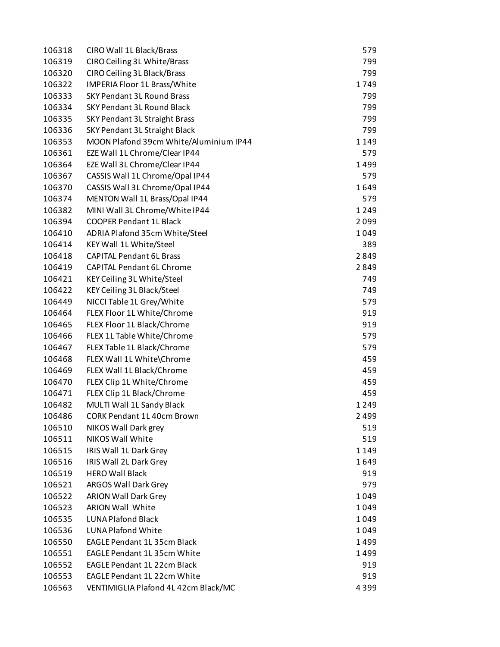| 106318 | CIRO Wall 1L Black/Brass               | 579  |
|--------|----------------------------------------|------|
| 106319 | CIRO Ceiling 3L White/Brass            | 799  |
| 106320 | CIRO Ceiling 3L Black/Brass            | 799  |
| 106322 | IMPERIA Floor 1L Brass/White           | 1749 |
| 106333 | <b>SKY Pendant 3L Round Brass</b>      | 799  |
| 106334 | <b>SKY Pendant 3L Round Black</b>      | 799  |
| 106335 | SKY Pendant 3L Straight Brass          | 799  |
| 106336 | SKY Pendant 3L Straight Black          | 799  |
| 106353 | MOON Plafond 39cm White/Aluminium IP44 | 1149 |
| 106361 | EZE Wall 1L Chrome/Clear IP44          | 579  |
| 106364 | EZE Wall 3L Chrome/Clear IP44          | 1499 |
| 106367 | CASSIS Wall 1L Chrome/Opal IP44        | 579  |
| 106370 | CASSIS Wall 3L Chrome/Opal IP44        | 1649 |
| 106374 | MENTON Wall 1L Brass/Opal IP44         | 579  |
| 106382 | MINI Wall 3L Chrome/White IP44         | 1249 |
| 106394 | <b>COOPER Pendant 1L Black</b>         | 2099 |
| 106410 | ADRIA Plafond 35cm White/Steel         | 1049 |
| 106414 | KEY Wall 1L White/Steel                | 389  |
| 106418 | <b>CAPITAL Pendant 6L Brass</b>        | 2849 |
| 106419 | <b>CAPITAL Pendant 6L Chrome</b>       | 2849 |
| 106421 | KEY Ceiling 3L White/Steel             | 749  |
| 106422 | KEY Ceiling 3L Black/Steel             | 749  |
| 106449 | NICCI Table 1L Grey/White              | 579  |
| 106464 | FLEX Floor 1L White/Chrome             | 919  |
| 106465 | FLEX Floor 1L Black/Chrome             | 919  |
| 106466 | FLEX 1L Table White/Chrome             | 579  |
| 106467 | FLEX Table 1L Black/Chrome             | 579  |
| 106468 | FLEX Wall 1L White\Chrome              | 459  |
| 106469 | FLEX Wall 1L Black/Chrome              | 459  |
| 106470 | FLEX Clip 1L White/Chrome              | 459  |
| 106471 | FLEX Clip 1L Black/Chrome              | 459  |
| 106482 | MULTI Wall 1L Sandy Black              | 1249 |
| 106486 | CORK Pendant 1L 40cm Brown             | 2499 |
| 106510 | NIKOS Wall Dark grey                   | 519  |
| 106511 | <b>NIKOS Wall White</b>                | 519  |
| 106515 | IRIS Wall 1L Dark Grey                 | 1149 |
| 106516 | IRIS Wall 2L Dark Grey                 | 1649 |
| 106519 | <b>HERO Wall Black</b>                 | 919  |
| 106521 | ARGOS Wall Dark Grey                   | 979  |
| 106522 | <b>ARION Wall Dark Grey</b>            | 1049 |
| 106523 | <b>ARION Wall White</b>                | 1049 |
| 106535 | <b>LUNA Plafond Black</b>              | 1049 |
| 106536 | <b>LUNA Plafond White</b>              | 1049 |
| 106550 | <b>EAGLE Pendant 1L 35cm Black</b>     | 1499 |
| 106551 | EAGLE Pendant 1L 35cm White            | 1499 |
| 106552 | <b>EAGLE Pendant 1L 22cm Black</b>     | 919  |
| 106553 | EAGLE Pendant 1L 22cm White            | 919  |
| 106563 | VENTIMIGLIA Plafond 4L 42cm Black/MC   | 4399 |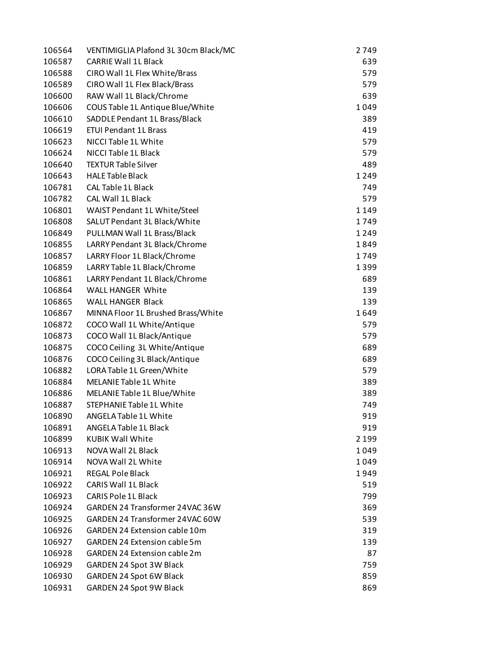| 106564 | VENTIMIGLIA Plafond 3L 30cm Black/MC | 2749    |
|--------|--------------------------------------|---------|
| 106587 | <b>CARRIE Wall 1L Black</b>          | 639     |
| 106588 | CIRO Wall 1L Flex White/Brass        | 579     |
| 106589 | CIRO Wall 1L Flex Black/Brass        | 579     |
| 106600 | RAW Wall 1L Black/Chrome             | 639     |
| 106606 | COUS Table 1L Antique Blue/White     | 1049    |
| 106610 | SADDLE Pendant 1L Brass/Black        | 389     |
| 106619 | <b>ETUI Pendant 1L Brass</b>         | 419     |
| 106623 | NICCI Table 1L White                 | 579     |
| 106624 | NICCI Table 1L Black                 | 579     |
| 106640 | <b>TEXTUR Table Silver</b>           | 489     |
| 106643 | <b>HALE Table Black</b>              | 1249    |
| 106781 | <b>CAL Table 1L Black</b>            | 749     |
| 106782 | <b>CAL Wall 1L Black</b>             | 579     |
| 106801 | WAIST Pendant 1L White/Steel         | 1149    |
|        |                                      | 1749    |
| 106808 | SALUT Pendant 3L Black/White         |         |
| 106849 | PULLMAN Wall 1L Brass/Black          | 1249    |
| 106855 | LARRY Pendant 3L Black/Chrome        | 1849    |
| 106857 | LARRY Floor 1L Black/Chrome          | 1749    |
| 106859 | LARRY Table 1L Black/Chrome          | 1399    |
| 106861 | LARRY Pendant 1L Black/Chrome        | 689     |
| 106864 | WALL HANGER White                    | 139     |
| 106865 | <b>WALL HANGER Black</b>             | 139     |
| 106867 | MINNA Floor 1L Brushed Brass/White   | 1649    |
| 106872 | COCO Wall 1L White/Antique           | 579     |
| 106873 | COCO Wall 1L Black/Antique           | 579     |
| 106875 | COCO Ceiling 3L White/Antique        | 689     |
| 106876 | COCO Ceiling 3L Black/Antique        | 689     |
| 106882 | LORA Table 1L Green/White            | 579     |
| 106884 | <b>MELANIE Table 1L White</b>        | 389     |
| 106886 | MELANIE Table 1L Blue/White          | 389     |
| 106887 | STEPHANIE Table 1L White             | 749     |
| 106890 | ANGELA Table 1L White                | 919     |
| 106891 | <b>ANGELA Table 1L Black</b>         | 919     |
| 106899 | <b>KUBIK Wall White</b>              | 2 1 9 9 |
| 106913 | NOVA Wall 2L Black                   | 1049    |
| 106914 | NOVA Wall 2L White                   | 1049    |
| 106921 | <b>REGAL Pole Black</b>              | 1949    |
| 106922 | <b>CARIS Wall 1L Black</b>           | 519     |
| 106923 | <b>CARIS Pole 1L Black</b>           | 799     |
| 106924 | GARDEN 24 Transformer 24VAC 36W      | 369     |
| 106925 | GARDEN 24 Transformer 24VAC 60W      | 539     |
| 106926 | <b>GARDEN 24 Extension cable 10m</b> | 319     |
| 106927 | <b>GARDEN 24 Extension cable 5m</b>  | 139     |
| 106928 | GARDEN 24 Extension cable 2m         | 87      |
| 106929 | <b>GARDEN 24 Spot 3W Black</b>       | 759     |
|        |                                      |         |
| 106930 | <b>GARDEN 24 Spot 6W Black</b>       | 859     |
| 106931 | <b>GARDEN 24 Spot 9W Black</b>       | 869     |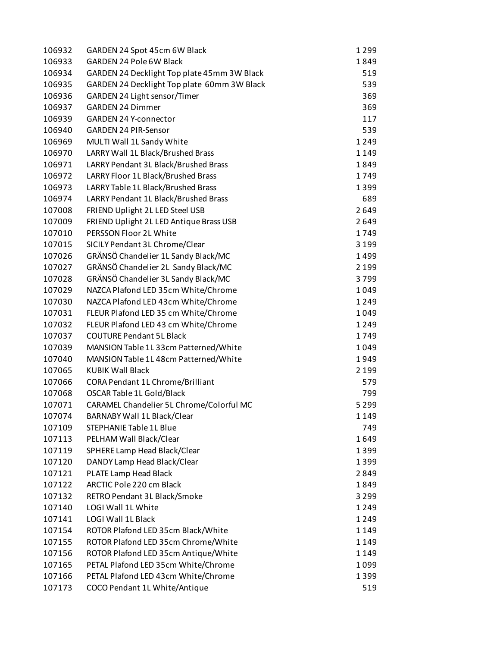| 106932 | GARDEN 24 Spot 45cm 6W Black                | 1299    |
|--------|---------------------------------------------|---------|
| 106933 | GARDEN 24 Pole 6W Black                     | 1849    |
| 106934 | GARDEN 24 Decklight Top plate 45mm 3W Black | 519     |
| 106935 | GARDEN 24 Decklight Top plate 60mm 3W Black | 539     |
| 106936 | GARDEN 24 Light sensor/Timer                | 369     |
| 106937 | <b>GARDEN 24 Dimmer</b>                     | 369     |
| 106939 | <b>GARDEN 24 Y-connector</b>                | 117     |
| 106940 | <b>GARDEN 24 PIR-Sensor</b>                 | 539     |
| 106969 | MULTI Wall 1L Sandy White                   | 1249    |
| 106970 | LARRY Wall 1L Black/Brushed Brass           | 1149    |
| 106971 | LARRY Pendant 3L Black/Brushed Brass        | 1849    |
| 106972 | LARRY Floor 1L Black/Brushed Brass          | 1749    |
| 106973 | LARRY Table 1L Black/Brushed Brass          | 1399    |
| 106974 | LARRY Pendant 1L Black/Brushed Brass        | 689     |
| 107008 | FRIEND Uplight 2L LED Steel USB             | 2649    |
| 107009 | FRIEND Uplight 2L LED Antique Brass USB     | 2649    |
| 107010 | PERSSON Floor 2L White                      | 1749    |
| 107015 | SICILY Pendant 3L Chrome/Clear              | 3 1 9 9 |
| 107026 | GRÄNSÖ Chandelier 1L Sandy Black/MC         | 1499    |
| 107027 | GRÄNSÖ Chandelier 2L Sandy Black/MC         | 2 1 9 9 |
| 107028 | GRÄNSÖ Chandelier 3L Sandy Black/MC         | 3799    |
| 107029 | NAZCA Plafond LED 35cm White/Chrome         | 1049    |
| 107030 | NAZCA Plafond LED 43cm White/Chrome         | 1249    |
| 107031 | FLEUR Plafond LED 35 cm White/Chrome        | 1049    |
| 107032 | FLEUR Plafond LED 43 cm White/Chrome        | 1249    |
| 107037 | <b>COUTURE Pendant 5L Black</b>             | 1749    |
| 107039 | MANSION Table 1L 33cm Patterned/White       | 1049    |
| 107040 | MANSION Table 1L 48cm Patterned/White       | 1949    |
| 107065 | <b>KUBIK Wall Black</b>                     | 2 1 9 9 |
|        |                                             |         |
| 107066 | <b>CORA Pendant 1L Chrome/Brilliant</b>     | 579     |
| 107068 | OSCAR Table 1L Gold/Black                   | 799     |
| 107071 | CARAMEL Chandelier 5L Chrome/Colorful MC    | 5 2 9 9 |
| 107074 | BARNABY Wall 1L Black/Clear                 | 1149    |
| 107109 | STEPHANIE Table 1L Blue                     | 749     |
| 107113 | PELHAM Wall Black/Clear                     | 1649    |
| 107119 | SPHERE Lamp Head Black/Clear                | 1399    |
| 107120 | DANDY Lamp Head Black/Clear                 | 1399    |
| 107121 | PLATE Lamp Head Black                       | 2849    |
| 107122 | ARCTIC Pole 220 cm Black                    | 1849    |
| 107132 | RETRO Pendant 3L Black/Smoke                | 3 2 9 9 |
| 107140 | LOGI Wall 1L White                          | 1249    |
| 107141 | <b>LOGI Wall 1L Black</b>                   | 1249    |
| 107154 | ROTOR Plafond LED 35cm Black/White          | 1149    |
| 107155 | ROTOR Plafond LED 35cm Chrome/White         | 1149    |
| 107156 | ROTOR Plafond LED 35cm Antique/White        | 1149    |
| 107165 | PETAL Plafond LED 35cm White/Chrome         | 1099    |
| 107166 | PETAL Plafond LED 43cm White/Chrome         | 1399    |
| 107173 | COCO Pendant 1L White/Antique               | 519     |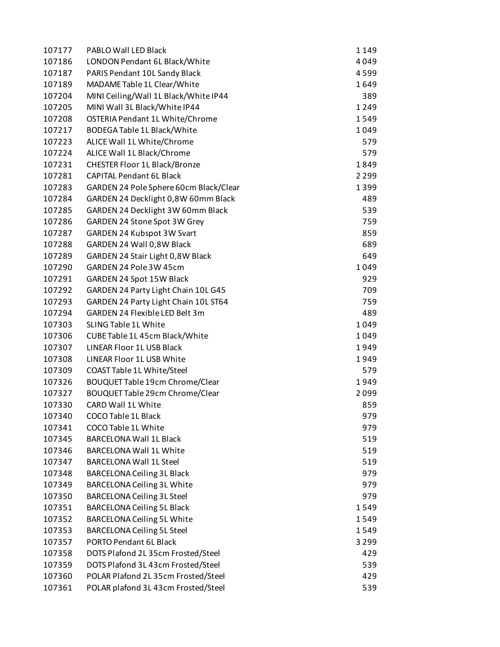| 107177 | PABLO Wall LED Black                   | 1149    |
|--------|----------------------------------------|---------|
| 107186 | LONDON Pendant 6L Black/White          | 4049    |
| 107187 | PARIS Pendant 10L Sandy Black          | 4599    |
| 107189 | MADAME Table 1L Clear/White            | 1649    |
| 107204 | MINI Ceiling/Wall 1L Black/White IP44  | 389     |
| 107205 | MINI Wall 3L Black/White IP44          | 1249    |
| 107208 | OSTERIA Pendant 1L White/Chrome        | 1549    |
| 107217 | BODEGA Table 1L Black/White            | 1049    |
| 107223 | ALICE Wall 1L White/Chrome             | 579     |
| 107224 | ALICE Wall 1L Black/Chrome             | 579     |
| 107231 | <b>CHESTER Floor 1L Black/Bronze</b>   | 1849    |
| 107281 | <b>CAPITAL Pendant 6L Black</b>        | 2 2 9 9 |
| 107283 | GARDEN 24 Pole Sphere 60cm Black/Clear | 1399    |
| 107284 | GARDEN 24 Decklight 0,8W 60mm Black    | 489     |
| 107285 | GARDEN 24 Decklight 3W 60mm Black      | 539     |
| 107286 | GARDEN 24 Stone Spot 3W Grey           | 759     |
| 107287 | GARDEN 24 Kubspot 3W Svart             | 859     |
| 107288 | GARDEN 24 Wall 0,8W Black              | 689     |
| 107289 | GARDEN 24 Stair Light 0,8W Black       | 649     |
| 107290 | GARDEN 24 Pole 3W 45cm                 | 1049    |
| 107291 | GARDEN 24 Spot 15W Black               | 929     |
| 107292 | GARDEN 24 Party Light Chain 10L G45    | 709     |
| 107293 | GARDEN 24 Party Light Chain 10L ST64   | 759     |
| 107294 | GARDEN 24 Flexible LED Belt 3m         | 489     |
| 107303 | SLING Table 1L White                   | 1049    |
| 107306 | CUBE Table 1L 45cm Black/White         | 1049    |
| 107307 | LINEAR Floor 1L USB Black              | 1949    |
| 107308 | LINEAR Floor 1L USB White              | 1949    |
| 107309 | COAST Table 1L White/Steel             | 579     |
| 107326 | <b>BOUQUET Table 19cm Chrome/Clear</b> | 1949    |
| 107327 | BOUQUET Table 29cm Chrome/Clear        | 2099    |
| 107330 | <b>CARD Wall 1L White</b>              | 859     |
| 107340 | <b>COCO Table 1L Black</b>             | 979     |
| 107341 | COCO Table 1L White                    | 979     |
| 107345 | <b>BARCELONA Wall 1L Black</b>         | 519     |
| 107346 | <b>BARCELONA Wall 1L White</b>         | 519     |
| 107347 | <b>BARCELONA Wall 1L Steel</b>         | 519     |
| 107348 | <b>BARCELONA Ceiling 3L Black</b>      | 979     |
| 107349 | BARCELONA Ceiling 3L White             | 979     |
| 107350 | <b>BARCELONA Ceiling 3L Steel</b>      | 979     |
| 107351 | <b>BARCELONA Ceiling 5L Black</b>      | 1549    |
| 107352 | BARCELONA Ceiling 5L White             | 1549    |
| 107353 | <b>BARCELONA Ceiling 5L Steel</b>      | 1549    |
| 107357 | PORTO Pendant 6L Black                 | 3 2 9 9 |
| 107358 | DOTS Plafond 2L 35cm Frosted/Steel     | 429     |
| 107359 | DOTS Plafond 3L 43cm Frosted/Steel     | 539     |
| 107360 | POLAR Plafond 2L 35cm Frosted/Steel    | 429     |
| 107361 | POLAR plafond 3L 43cm Frosted/Steel    | 539     |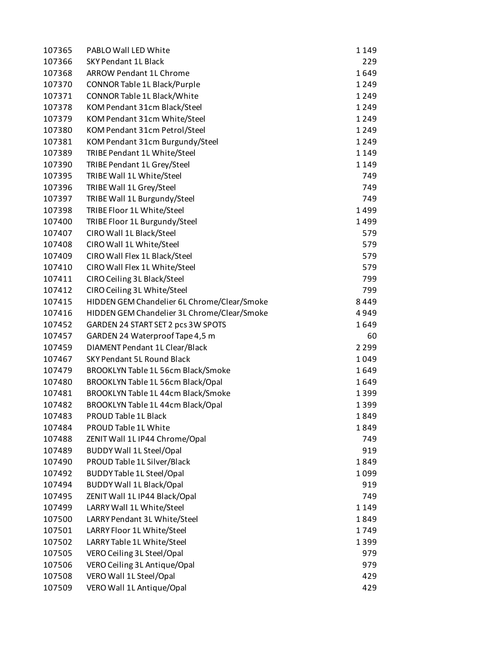| 107365 | PABLO Wall LED White                        | 1149    |
|--------|---------------------------------------------|---------|
| 107366 | <b>SKY Pendant 1L Black</b>                 | 229     |
| 107368 | <b>ARROW Pendant 1L Chrome</b>              | 1649    |
| 107370 | CONNOR Table 1L Black/Purple                | 1249    |
| 107371 | CONNOR Table 1L Black/White                 | 1249    |
| 107378 | KOM Pendant 31cm Black/Steel                | 1249    |
| 107379 | KOM Pendant 31cm White/Steel                | 1249    |
| 107380 | KOM Pendant 31cm Petrol/Steel               | 1249    |
| 107381 | KOM Pendant 31cm Burgundy/Steel             | 1249    |
| 107389 | TRIBE Pendant 1L White/Steel                | 1149    |
| 107390 | TRIBE Pendant 1L Grey/Steel                 | 1149    |
| 107395 | TRIBE Wall 1L White/Steel                   | 749     |
| 107396 | TRIBE Wall 1L Grey/Steel                    | 749     |
| 107397 | TRIBE Wall 1L Burgundy/Steel                | 749     |
| 107398 | TRIBE Floor 1L White/Steel                  | 1499    |
| 107400 | TRIBE Floor 1L Burgundy/Steel               | 1499    |
| 107407 | CIRO Wall 1L Black/Steel                    | 579     |
| 107408 | CIRO Wall 1L White/Steel                    | 579     |
| 107409 | CIRO Wall Flex 1L Black/Steel               | 579     |
| 107410 | CIRO Wall Flex 1L White/Steel               | 579     |
| 107411 | CIRO Ceiling 3L Black/Steel                 | 799     |
| 107412 | CIRO Ceiling 3L White/Steel                 | 799     |
| 107415 | HIDDEN GEM Chandelier 6L Chrome/Clear/Smoke | 8449    |
| 107416 | HIDDEN GEM Chandelier 3L Chrome/Clear/Smoke | 4949    |
| 107452 | GARDEN 24 START SET 2 pcs 3W SPOTS          | 1649    |
| 107457 | GARDEN 24 Waterproof Tape 4,5 m             | 60      |
| 107459 | DIAMENT Pendant 1L Clear/Black              | 2 2 9 9 |
| 107467 | <b>SKY Pendant 5L Round Black</b>           | 1049    |
| 107479 | BROOKLYN Table 1L 56cm Black/Smoke          | 1649    |
| 107480 | BROOKLYN Table 1L 56cm Black/Opal           | 1649    |
| 107481 | BROOKLYN Table 1L 44cm Black/Smoke          | 1399    |
| 107482 | BROOKLYN Table 1L 44cm Black/Opal           | 1399    |
| 107483 | <b>PROUD Table 1L Black</b>                 | 1849    |
| 107484 | PROUD Table 1L White                        | 1849    |
| 107488 | ZENIT Wall 1L IP44 Chrome/Opal              | 749     |
| 107489 | <b>BUDDY Wall 1L Steel/Opal</b>             | 919     |
| 107490 | PROUD Table 1L Silver/Black                 | 1849    |
| 107492 | <b>BUDDY Table 1L Steel/Opal</b>            | 1099    |
| 107494 | <b>BUDDY Wall 1L Black/Opal</b>             | 919     |
| 107495 | ZENIT Wall 1L IP44 Black/Opal               | 749     |
| 107499 | LARRY Wall 1L White/Steel                   | 1149    |
| 107500 | LARRY Pendant 3L White/Steel                | 1849    |
| 107501 | LARRY Floor 1L White/Steel                  | 1749    |
| 107502 | LARRY Table 1L White/Steel                  | 1399    |
| 107505 | VERO Ceiling 3L Steel/Opal                  | 979     |
| 107506 | VERO Ceiling 3L Antique/Opal                | 979     |
| 107508 | VERO Wall 1L Steel/Opal                     | 429     |
| 107509 | VERO Wall 1L Antique/Opal                   | 429     |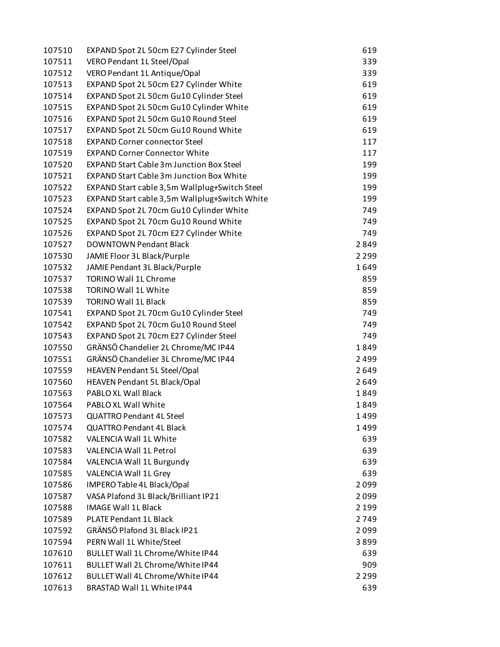| 107510 | EXPAND Spot 2L 50cm E27 Cylinder Steel          | 619     |
|--------|-------------------------------------------------|---------|
| 107511 | VERO Pendant 1L Steel/Opal                      | 339     |
| 107512 | VERO Pendant 1L Antique/Opal                    | 339     |
| 107513 | EXPAND Spot 2L 50cm E27 Cylinder White          | 619     |
| 107514 | EXPAND Spot 2L 50cm Gu10 Cylinder Steel         | 619     |
| 107515 | EXPAND Spot 2L 50cm Gu10 Cylinder White         | 619     |
| 107516 | EXPAND Spot 2L 50cm Gu10 Round Steel            | 619     |
| 107517 | EXPAND Spot 2L 50cm Gu10 Round White            | 619     |
| 107518 | <b>EXPAND Corner connector Steel</b>            | 117     |
| 107519 | <b>EXPAND Corner Connector White</b>            | 117     |
| 107520 | <b>EXPAND Start Cable 3m Junction Box Steel</b> | 199     |
| 107521 | <b>EXPAND Start Cable 3m Junction Box White</b> | 199     |
| 107522 | EXPAND Start cable 3,5m Wallplug+Switch Steel   | 199     |
| 107523 | EXPAND Start cable 3,5m Wallplug+Switch White   | 199     |
| 107524 | EXPAND Spot 2L 70cm Gu10 Cylinder White         | 749     |
| 107525 | EXPAND Spot 2L 70cm Gu10 Round White            | 749     |
| 107526 | EXPAND Spot 2L 70cm E27 Cylinder White          | 749     |
| 107527 | <b>DOWNTOWN Pendant Black</b>                   | 2849    |
| 107530 | JAMIE Floor 3L Black/Purple                     | 2 2 9 9 |
| 107532 | JAMIE Pendant 3L Black/Purple                   | 1649    |
| 107537 | <b>TORINO Wall 1L Chrome</b>                    | 859     |
| 107538 | TORINO Wall 1L White                            | 859     |
| 107539 | <b>TORINO Wall 1L Black</b>                     | 859     |
| 107541 | EXPAND Spot 2L 70cm Gu10 Cylinder Steel         | 749     |
| 107542 | EXPAND Spot 2L 70cm Gu10 Round Steel            | 749     |
| 107543 | EXPAND Spot 2L 70cm E27 Cylinder Steel          | 749     |
| 107550 | GRÄNSÖ Chandelier 2L Chrome/MC IP44             | 1849    |
| 107551 | GRÄNSÖ Chandelier 3L Chrome/MC IP44             | 2499    |
| 107559 | HEAVEN Pendant 5L Steel/Opal                    | 2649    |
| 107560 | <b>HEAVEN Pendant 5L Black/Opal</b>             | 2649    |
| 107563 | <b>PABLO XL Wall Black</b>                      | 1849    |
| 107564 | PABLO XL Wall White                             | 1849    |
| 107573 | <b>QUATTRO Pendant 4L Steel</b>                 | 1499    |
| 107574 | <b>QUATTRO Pendant 4L Black</b>                 | 1499    |
| 107582 | VALENCIA Wall 1L White                          | 639     |
| 107583 | VALENCIA Wall 1L Petrol                         | 639     |
| 107584 | VALENCIA Wall 1L Burgundy                       | 639     |
| 107585 | VALENCIA Wall 1L Grey                           | 639     |
| 107586 | IMPERO Table 4L Black/Opal                      | 2099    |
| 107587 | VASA Plafond 3L Black/Brilliant IP21            | 2099    |
| 107588 | <b>IMAGE Wall 1L Black</b>                      | 2 1 9 9 |
| 107589 | <b>PLATE Pendant 1L Black</b>                   | 2749    |
| 107592 | GRÄNSÖ Plafond 3L Black IP21                    | 2099    |
| 107594 | PERN Wall 1L White/Steel                        | 3899    |
| 107610 | BULLET Wall 1L Chrome/White IP44                | 639     |
| 107611 | BULLET Wall 2L Chrome/White IP44                | 909     |
| 107612 | BULLET Wall 4L Chrome/White IP44                | 2 2 9 9 |
| 107613 | BRASTAD Wall 1L White IP44                      | 639     |
|        |                                                 |         |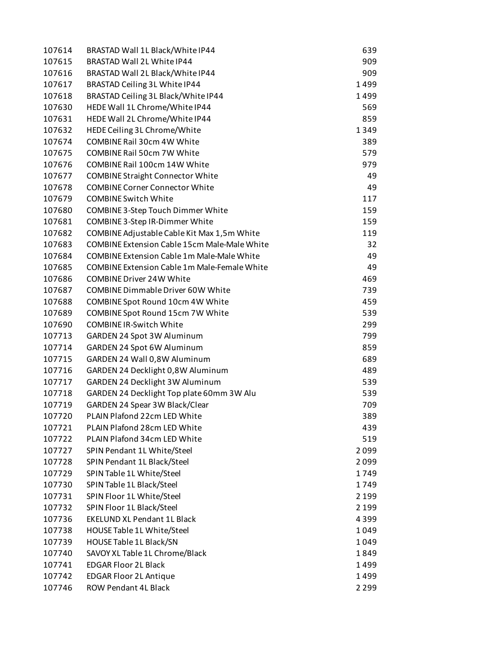| 107614 | BRASTAD Wall 1L Black/White IP44                      | 639             |
|--------|-------------------------------------------------------|-----------------|
| 107615 | BRASTAD Wall 2L White IP44                            | 909             |
| 107616 | BRASTAD Wall 2L Black/White IP44                      | 909             |
| 107617 | BRASTAD Ceiling 3L White IP44                         | 1499            |
| 107618 | BRASTAD Ceiling 3L Black/White IP44                   | 1499            |
| 107630 | HEDE Wall 1L Chrome/White IP44                        | 569             |
| 107631 | HEDE Wall 2L Chrome/White IP44                        | 859             |
| 107632 | HEDE Ceiling 3L Chrome/White                          | 1349            |
| 107674 | COMBINE Rail 30cm 4W White                            | 389             |
| 107675 | COMBINE Rail 50cm 7W White                            | 579             |
| 107676 | COMBINE Rail 100cm 14W White                          | 979             |
| 107677 | <b>COMBINE Straight Connector White</b>               | 49              |
| 107678 | <b>COMBINE Corner Connector White</b>                 | 49              |
| 107679 | <b>COMBINE Switch White</b>                           | 117             |
| 107680 | COMBINE 3-Step Touch Dimmer White                     | 159             |
| 107681 | COMBINE 3-Step IR-Dimmer White                        | 159             |
| 107682 | COMBINE Adjustable Cable Kit Max 1,5m White           | 119             |
| 107683 | <b>COMBINE Extension Cable 15cm Male-Male White</b>   | 32              |
| 107684 | <b>COMBINE Extension Cable 1m Male-Male White</b>     | 49              |
| 107685 | <b>COMBINE Extension Cable 1m Male-Female White</b>   | 49              |
| 107686 | <b>COMBINE Driver 24W White</b>                       | 469             |
| 107687 | <b>COMBINE Dimmable Driver 60W White</b>              | 739             |
| 107688 | COMBINE Spot Round 10cm 4W White                      | 459             |
| 107689 | COMBINE Spot Round 15cm 7W White                      | 539             |
| 107690 | <b>COMBINE IR-Switch White</b>                        | 299             |
| 107713 | GARDEN 24 Spot 3W Aluminum                            | 799             |
| 107714 | GARDEN 24 Spot 6W Aluminum                            | 859             |
| 107715 | GARDEN 24 Wall 0,8W Aluminum                          | 689             |
| 107716 | GARDEN 24 Decklight 0,8W Aluminum                     | 489             |
| 107717 | GARDEN 24 Decklight 3W Aluminum                       | 539             |
| 107718 | GARDEN 24 Decklight Top plate 60mm 3W Alu             | 539             |
| 107719 | GARDEN 24 Spear 3W Black/Clear                        | 709             |
| 107720 | PLAIN Plafond 22cm LED White                          | 389             |
| 107721 | PLAIN Plafond 28cm LED White                          | 439             |
| 107722 | PLAIN Plafond 34cm LED White                          | 519             |
| 107727 | SPIN Pendant 1L White/Steel                           | 2099            |
| 107728 | SPIN Pendant 1L Black/Steel                           | 2099            |
| 107729 | SPIN Table 1L White/Steel                             | 1749            |
| 107730 | SPIN Table 1L Black/Steel                             | 1749            |
| 107731 | SPIN Floor 1L White/Steel                             | 2 1 9 9         |
| 107732 | SPIN Floor 1L Black/Steel                             | 2 1 9 9         |
| 107736 | <b>EKELUND XL Pendant 1L Black</b>                    | 4399            |
| 107738 | HOUSE Table 1L White/Steel                            | 1049            |
| 107739 | HOUSE Table 1L Black/SN                               | 1049            |
| 107740 | SAVOY XL Table 1L Chrome/Black                        | 1849            |
| 107741 | <b>EDGAR Floor 2L Black</b>                           | 1499            |
| 107742 |                                                       |                 |
| 107746 | <b>EDGAR Floor 2L Antique</b><br>ROW Pendant 4L Black | 1499<br>2 2 9 9 |
|        |                                                       |                 |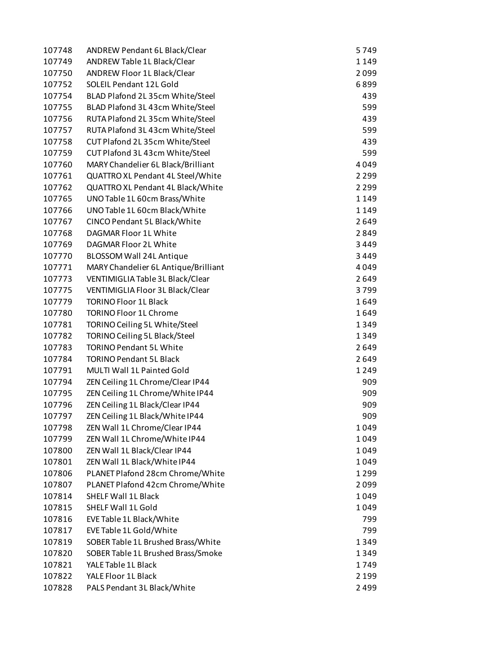| 107748           | <b>ANDREW Pendant 6L Black/Clear</b>                             | 5749         |
|------------------|------------------------------------------------------------------|--------------|
| 107749           | <b>ANDREW Table 1L Black/Clear</b>                               | 1149         |
| 107750           | ANDREW Floor 1L Black/Clear                                      | 2099         |
| 107752           | SOLEIL Pendant 12L Gold                                          | 6899         |
| 107754           | BLAD Plafond 2L 35cm White/Steel                                 | 439          |
| 107755           | BLAD Plafond 3L 43cm White/Steel                                 | 599          |
| 107756           | RUTA Plafond 2L 35cm White/Steel                                 | 439          |
| 107757           | RUTA Plafond 3L 43cm White/Steel                                 | 599          |
| 107758           | CUT Plafond 2L 35cm White/Steel                                  | 439          |
| 107759           | CUT Plafond 3L 43cm White/Steel                                  | 599          |
| 107760           | MARY Chandelier 6L Black/Brilliant                               | 4049         |
| 107761           | QUATTRO XL Pendant 4L Steel/White                                | 2 2 9 9      |
| 107762           | QUATTRO XL Pendant 4L Black/White                                | 2 2 9 9      |
| 107765           | UNO Table 1L 60cm Brass/White                                    | 1149         |
| 107766           | UNO Table 1L 60cm Black/White                                    | 1149         |
| 107767           | CINCO Pendant 5L Black/White                                     | 2649         |
| 107768           | DAGMAR Floor 1L White                                            | 2849         |
| 107769           | DAGMAR Floor 2L White                                            | 3449         |
| 107770           | BLOSSOM Wall 24L Antique                                         | 3449         |
| 107771           | MARY Chandelier 6L Antique/Brilliant                             | 4049         |
| 107773           | VENTIMIGLIA Table 3L Black/Clear                                 | 2649         |
| 107775           | VENTIMIGLIA Floor 3L Black/Clear                                 | 3799         |
| 107779           | <b>TORINO Floor 1L Black</b>                                     | 1649         |
| 107780           | <b>TORINO Floor 1L Chrome</b>                                    | 1649         |
| 107781           | TORINO Ceiling 5L White/Steel                                    | 1349         |
| 107782           | TORINO Ceiling 5L Black/Steel                                    | 1349         |
| 107783           | <b>TORINO Pendant 5L White</b>                                   | 2649         |
| 107784           | <b>TORINO Pendant 5L Black</b>                                   | 2649         |
| 107791           | MULTI Wall 1L Painted Gold                                       | 1249         |
| 107794           | ZEN Ceiling 1L Chrome/Clear IP44                                 | 909          |
| 107795           | ZEN Ceiling 1L Chrome/White IP44                                 | 909          |
|                  | ZEN Ceiling 1L Black/Clear IP44                                  | 909          |
| 107796           |                                                                  |              |
| 107797           | ZEN Ceiling 1L Black/White IP44<br>ZEN Wall 1L Chrome/Clear IP44 | 909          |
| 107798           |                                                                  | 1049         |
| 107799           | ZEN Wall 1L Chrome/White IP44<br>ZEN Wall 1L Black/Clear IP44    | 1049<br>1049 |
| 107800<br>107801 |                                                                  |              |
|                  | ZEN Wall 1L Black/White IP44<br>PLANET Plafond 28cm Chrome/White | 1049         |
| 107806           |                                                                  | 1299         |
| 107807           | PLANET Plafond 42cm Chrome/White                                 | 2099         |
| 107814           | <b>SHELF Wall 1L Black</b>                                       | 1049         |
| 107815           | SHELF Wall 1L Gold                                               | 1049         |
| 107816           | EVE Table 1L Black/White                                         | 799          |
| 107817           | EVE Table 1L Gold/White                                          | 799          |
| 107819           | SOBER Table 1L Brushed Brass/White                               | 1349         |
| 107820           | SOBER Table 1L Brushed Brass/Smoke                               | 1349         |
| 107821           | YALE Table 1L Black                                              | 1749         |
| 107822           | YALE Floor 1L Black                                              | 2 1 9 9      |
| 107828           | PALS Pendant 3L Black/White                                      | 2499         |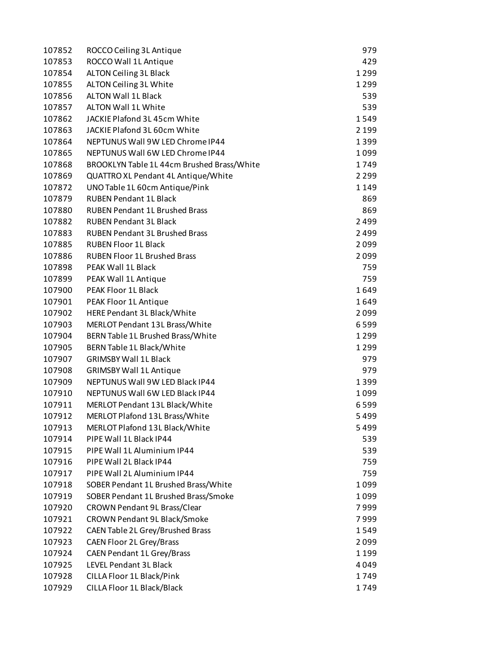| 107852 | ROCCO Ceiling 3L Antique                   | 979     |
|--------|--------------------------------------------|---------|
| 107853 | ROCCO Wall 1L Antique                      | 429     |
| 107854 | <b>ALTON Ceiling 3L Black</b>              | 1299    |
| 107855 | ALTON Ceiling 3L White                     | 1299    |
| 107856 | <b>ALTON Wall 1L Black</b>                 | 539     |
| 107857 | ALTON Wall 1L White                        | 539     |
| 107862 | JACKIE Plafond 3L 45cm White               | 1549    |
| 107863 | JACKIE Plafond 3L 60cm White               | 2 1 9 9 |
| 107864 | NEPTUNUS Wall 9W LED Chrome IP44           | 1399    |
| 107865 | NEPTUNUS Wall 6W LED Chrome IP44           | 1099    |
| 107868 | BROOKLYN Table 1L 44cm Brushed Brass/White | 1749    |
| 107869 | QUATTRO XL Pendant 4L Antique/White        | 2 2 9 9 |
| 107872 | UNO Table 1L 60cm Antique/Pink             | 1149    |
| 107879 | <b>RUBEN Pendant 1L Black</b>              | 869     |
| 107880 | <b>RUBEN Pendant 1L Brushed Brass</b>      | 869     |
| 107882 | <b>RUBEN Pendant 3L Black</b>              | 2499    |
| 107883 | <b>RUBEN Pendant 3L Brushed Brass</b>      | 2499    |
| 107885 | <b>RUBEN Floor 1L Black</b>                | 2099    |
| 107886 | <b>RUBEN Floor 1L Brushed Brass</b>        | 2099    |
| 107898 | PEAK Wall 1L Black                         | 759     |
| 107899 | PEAK Wall 1L Antique                       | 759     |
| 107900 | PEAK Floor 1L Black                        | 1649    |
| 107901 | PEAK Floor 1L Antique                      | 1649    |
| 107902 | HERE Pendant 3L Black/White                | 2099    |
| 107903 | MERLOT Pendant 13L Brass/White             | 6599    |
| 107904 | BERN Table 1L Brushed Brass/White          | 1299    |
| 107905 | BERN Table 1L Black/White                  | 1299    |
| 107907 | <b>GRIMSBY Wall 1L Black</b>               | 979     |
| 107908 | <b>GRIMSBY Wall 1L Antique</b>             | 979     |
| 107909 | NEPTUNUS Wall 9W LED Black IP44            | 1399    |
| 107910 | NEPTUNUS Wall 6W LED Black IP44            | 1099    |
| 107911 | MERLOT Pendant 13L Black/White             | 6599    |
| 107912 | MERLOT Plafond 13L Brass/White             | 5499    |
| 107913 | MERLOT Plafond 13L Black/White             | 5499    |
| 107914 | PIPE Wall 1L Black IP44                    |         |
|        | PIPE Wall 1L Aluminium IP44                | 539     |
| 107915 | PIPE Wall 2L Black IP44                    | 539     |
| 107916 |                                            | 759     |
| 107917 | PIPE Wall 2L Aluminium IP44                | 759     |
| 107918 | SOBER Pendant 1L Brushed Brass/White       | 1099    |
| 107919 | SOBER Pendant 1L Brushed Brass/Smoke       | 1099    |
| 107920 | <b>CROWN Pendant 9L Brass/Clear</b>        | 7999    |
| 107921 | CROWN Pendant 9L Black/Smoke               | 7999    |
| 107922 | CAEN Table 2L Grey/Brushed Brass           | 1549    |
| 107923 | <b>CAEN Floor 2L Grey/Brass</b>            | 2099    |
| 107924 | <b>CAEN Pendant 1L Grey/Brass</b>          | 1199    |
| 107925 | <b>LEVEL Pendant 3L Black</b>              | 4049    |
| 107928 | CILLA Floor 1L Black/Pink                  | 1749    |
| 107929 | CILLA Floor 1L Black/Black                 | 1749    |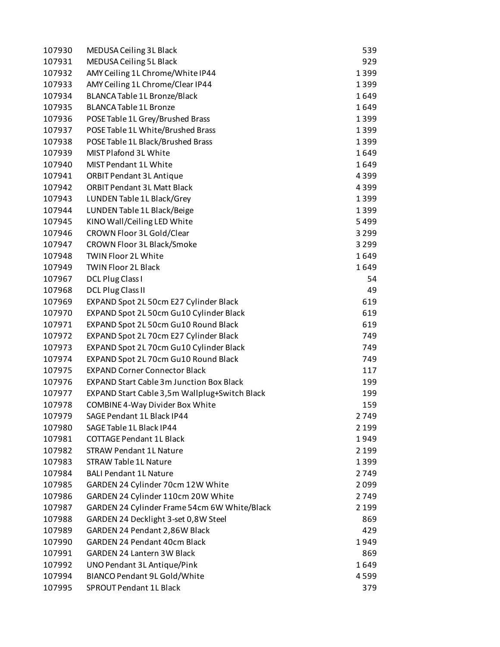| 107930 | MEDUSA Ceiling 3L Black                         | 539          |
|--------|-------------------------------------------------|--------------|
| 107931 | MEDUSA Ceiling 5L Black                         | 929          |
| 107932 | AMY Ceiling 1L Chrome/White IP44                | 1399         |
| 107933 | AMY Ceiling 1L Chrome/Clear IP44                | 1399         |
| 107934 | BLANCA Table 1L Bronze/Black                    | 1649         |
| 107935 | <b>BLANCA Table 1L Bronze</b>                   | 1649         |
| 107936 | POSE Table 1L Grey/Brushed Brass                | 1399         |
| 107937 | POSE Table 1L White/Brushed Brass               | 1399         |
| 107938 | POSE Table 1L Black/Brushed Brass               | 1399         |
| 107939 | MIST Plafond 3L White                           | 1649         |
| 107940 | MIST Pendant 1L White                           | 1649         |
| 107941 | <b>ORBIT Pendant 3L Antique</b>                 | 4399         |
| 107942 | <b>ORBIT Pendant 3L Matt Black</b>              | 4399         |
| 107943 | LUNDEN Table 1L Black/Grey                      | 1399         |
| 107944 | LUNDEN Table 1L Black/Beige                     | 1399         |
| 107945 | KINO Wall/Ceiling LED White                     | 5499         |
| 107946 | CROWN Floor 3L Gold/Clear                       | 3 2 9 9      |
| 107947 | CROWN Floor 3L Black/Smoke                      | 3 2 9 9      |
| 107948 | TWIN Floor 2L White                             | 1649         |
| 107949 | <b>TWIN Floor 2L Black</b>                      | 1649         |
| 107967 | DCL Plug Class I                                | 54           |
| 107968 | <b>DCL Plug Class II</b>                        | 49           |
| 107969 | EXPAND Spot 2L 50cm E27 Cylinder Black          | 619          |
| 107970 | EXPAND Spot 2L 50cm Gu10 Cylinder Black         | 619          |
| 107971 | EXPAND Spot 2L 50cm Gu10 Round Black            | 619          |
| 107972 | EXPAND Spot 2L 70cm E27 Cylinder Black          | 749          |
| 107973 | EXPAND Spot 2L 70cm Gu10 Cylinder Black         | 749          |
| 107974 | EXPAND Spot 2L 70cm Gu10 Round Black            | 749          |
| 107975 | <b>EXPAND Corner Connector Black</b>            | 117          |
| 107976 | <b>EXPAND Start Cable 3m Junction Box Black</b> | 199          |
| 107977 | EXPAND Start Cable 3,5m Wallplug+Switch Black   | 199          |
| 107978 | COMBINE 4-Way Divider Box White                 | 159          |
| 107979 | SAGE Pendant 1L Black IP44                      | 2749         |
| 107980 | SAGE Table 1L Black IP44                        | 2 1 9 9      |
| 107981 | <b>COTTAGE Pendant 1L Black</b>                 | 1949         |
| 107982 | <b>STRAW Pendant 1L Nature</b>                  | 2 1 9 9      |
| 107983 | <b>STRAW Table 1L Nature</b>                    | 1399         |
| 107984 | <b>BALI Pendant 1L Nature</b>                   |              |
| 107985 | GARDEN 24 Cylinder 70cm 12W White               | 2749<br>2099 |
| 107986 | GARDEN 24 Cylinder 110cm 20W White              | 2749         |
|        |                                                 |              |
| 107987 | GARDEN 24 Cylinder Frame 54cm 6W White/Black    | 2 1 9 9      |
| 107988 | GARDEN 24 Decklight 3-set 0,8W Steel            | 869          |
| 107989 | GARDEN 24 Pendant 2,86W Black                   | 429          |
| 107990 | <b>GARDEN 24 Pendant 40cm Black</b>             | 1949         |
| 107991 | GARDEN 24 Lantern 3W Black                      | 869          |
| 107992 | UNO Pendant 3L Antique/Pink                     | 1649         |
| 107994 | BIANCO Pendant 9L Gold/White                    | 4599         |
| 107995 | SPROUT Pendant 1L Black                         | 379          |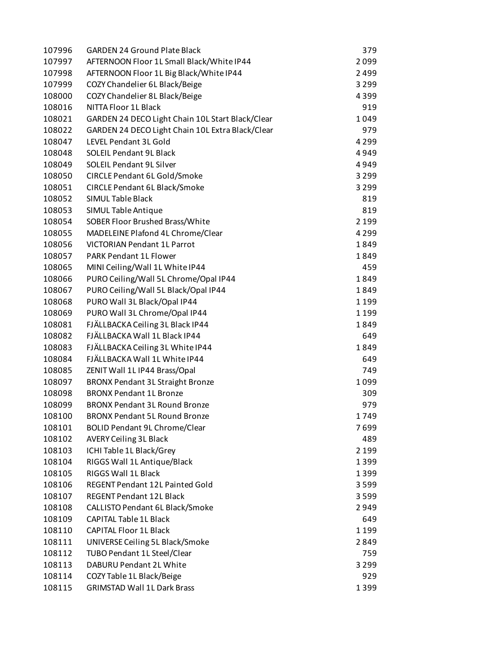| 107996 | <b>GARDEN 24 Ground Plate Black</b>              | 379     |
|--------|--------------------------------------------------|---------|
| 107997 | AFTERNOON Floor 1L Small Black/White IP44        | 2099    |
| 107998 | AFTERNOON Floor 1L Big Black/White IP44          | 2499    |
| 107999 | COZY Chandelier 6L Black/Beige                   | 3 2 9 9 |
| 108000 | COZY Chandelier 8L Black/Beige                   | 4399    |
| 108016 | NITTA Floor 1L Black                             | 919     |
| 108021 | GARDEN 24 DECO Light Chain 10L Start Black/Clear | 1049    |
| 108022 | GARDEN 24 DECO Light Chain 10L Extra Black/Clear | 979     |
| 108047 | LEVEL Pendant 3L Gold                            | 4 2 9 9 |
| 108048 | <b>SOLEIL Pendant 9L Black</b>                   | 4949    |
| 108049 | SOLEIL Pendant 9L Silver                         | 4949    |
| 108050 | CIRCLE Pendant 6L Gold/Smoke                     | 3 2 9 9 |
| 108051 | <b>CIRCLE Pendant 6L Black/Smoke</b>             | 3 2 9 9 |
| 108052 | <b>SIMUL Table Black</b>                         | 819     |
| 108053 | SIMUL Table Antique                              | 819     |
| 108054 | SOBER Floor Brushed Brass/White                  | 2 1 9 9 |
| 108055 | MADELEINE Plafond 4L Chrome/Clear                | 4 2 9 9 |
| 108056 | <b>VICTORIAN Pendant 1L Parrot</b>               | 1849    |
| 108057 | PARK Pendant 1L Flower                           | 1849    |
| 108065 | MINI Ceiling/Wall 1L White IP44                  | 459     |
| 108066 | PURO Ceiling/Wall 5L Chrome/Opal IP44            | 1849    |
| 108067 | PURO Ceiling/Wall 5L Black/Opal IP44             | 1849    |
| 108068 | PURO Wall 3L Black/Opal IP44                     | 1199    |
| 108069 | PURO Wall 3L Chrome/Opal IP44                    | 1199    |
| 108081 | FJÄLLBACKA Ceiling 3L Black IP44                 | 1849    |
| 108082 | FJÄLLBACKA Wall 1L Black IP44                    | 649     |
| 108083 | FJÄLLBACKA Ceiling 3L White IP44                 | 1849    |
| 108084 | FJÄLLBACKA Wall 1L White IP44                    | 649     |
| 108085 | ZENIT Wall 1L IP44 Brass/Opal                    | 749     |
| 108097 | <b>BRONX Pendant 3L Straight Bronze</b>          | 1099    |
| 108098 | <b>BRONX Pendant 1L Bronze</b>                   | 309     |
| 108099 | <b>BRONX Pendant 3L Round Bronze</b>             | 979     |
| 108100 | <b>BRONX Pendant 5L Round Bronze</b>             | 1749    |
| 108101 | <b>BOLID Pendant 9L Chrome/Clear</b>             | 7699    |
| 108102 | <b>AVERY Ceiling 3L Black</b>                    | 489     |
| 108103 | ICHI Table 1L Black/Grey                         | 2 1 9 9 |
| 108104 | RIGGS Wall 1L Antique/Black                      | 1399    |
| 108105 | RIGGS Wall 1L Black                              | 1399    |
| 108106 | REGENT Pendant 12L Painted Gold                  | 3599    |
| 108107 | REGENT Pendant 12L Black                         | 3599    |
| 108108 | CALLISTO Pendant 6L Black/Smoke                  | 2949    |
| 108109 | <b>CAPITAL Table 1L Black</b>                    | 649     |
| 108110 | <b>CAPITAL Floor 1L Black</b>                    | 1 1 9 9 |
| 108111 | UNIVERSE Ceiling 5L Black/Smoke                  | 2849    |
| 108112 | TUBO Pendant 1L Steel/Clear                      | 759     |
| 108113 | DABURU Pendant 2L White                          | 3 2 9 9 |
| 108114 | COZY Table 1L Black/Beige                        | 929     |
| 108115 | <b>GRIMSTAD Wall 1L Dark Brass</b>               | 1399    |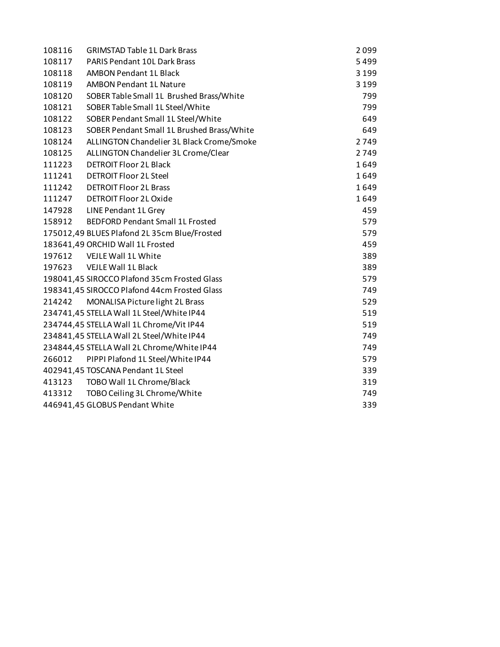| 108116 | <b>GRIMSTAD Table 1L Dark Brass</b>          | 2099    |
|--------|----------------------------------------------|---------|
| 108117 | <b>PARIS Pendant 10L Dark Brass</b>          | 5499    |
| 108118 | <b>AMBON Pendant 1L Black</b>                | 3 1 9 9 |
| 108119 | <b>AMBON Pendant 1L Nature</b>               | 3 1 9 9 |
| 108120 | SOBER Table Small 1L Brushed Brass/White     | 799     |
| 108121 | SOBER Table Small 1L Steel/White             | 799     |
| 108122 | SOBER Pendant Small 1L Steel/White           | 649     |
| 108123 | SOBER Pendant Small 1L Brushed Brass/White   | 649     |
| 108124 | ALLINGTON Chandelier 3L Black Crome/Smoke    | 2749    |
| 108125 | ALLINGTON Chandelier 3L Crome/Clear          | 2749    |
| 111223 | <b>DETROIT Floor 2L Black</b>                | 1649    |
| 111241 | <b>DETROIT Floor 2L Steel</b>                | 1649    |
| 111242 | <b>DETROIT Floor 2L Brass</b>                | 1649    |
| 111247 | <b>DETROIT Floor 2L Oxide</b>                | 1649    |
| 147928 | LINE Pendant 1L Grey                         | 459     |
| 158912 | <b>BEDFORD Pendant Small 1L Frosted</b>      | 579     |
|        | 175012,49 BLUES Plafond 2L 35cm Blue/Frosted | 579     |
|        | 183641,49 ORCHID Wall 1L Frosted             | 459     |
| 197612 | VEJLE Wall 1L White                          | 389     |
|        | 197623 VEJLE Wall 1L Black                   | 389     |
|        | 198041,45 SIROCCO Plafond 35cm Frosted Glass | 579     |
|        | 198341,45 SIROCCO Plafond 44cm Frosted Glass | 749     |
| 214242 | MONALISA Picture light 2L Brass              | 529     |
|        | 234741,45 STELLA Wall 1L Steel/White IP44    | 519     |
|        | 234744,45 STELLA Wall 1L Chrome/Vit IP44     | 519     |
|        | 234841,45 STELLA Wall 2L Steel/White IP44    | 749     |
|        | 234844,45 STELLA Wall 2L Chrome/White IP44   | 749     |
| 266012 | PIPPI Plafond 1L Steel/White IP44            | 579     |
|        | 402941,45 TOSCANA Pendant 1L Steel           | 339     |
| 413123 | TOBO Wall 1L Chrome/Black                    | 319     |
| 413312 | TOBO Ceiling 3L Chrome/White                 | 749     |
|        | 446941,45 GLOBUS Pendant White               | 339     |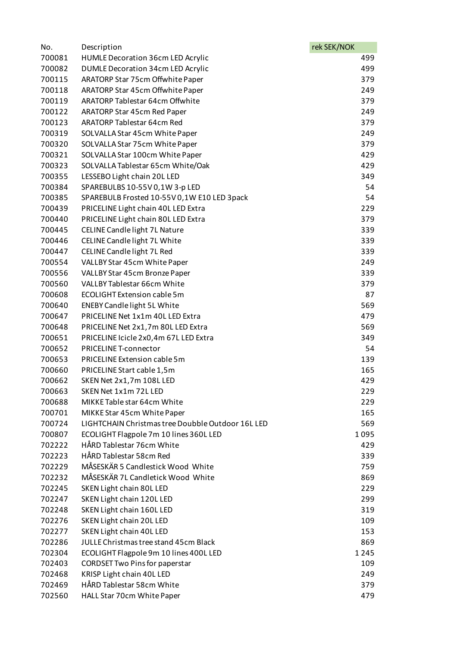| No.    | Description                                       | rek SEK/NOK |      |
|--------|---------------------------------------------------|-------------|------|
| 700081 | <b>HUMLE Decoration 36cm LED Acrylic</b>          |             | 499  |
| 700082 | DUMLE Decoration 34cm LED Acrylic                 |             | 499  |
| 700115 | ARATORP Star 75cm Offwhite Paper                  |             | 379  |
| 700118 | ARATORP Star 45cm Offwhite Paper                  |             | 249  |
| 700119 | ARATORP Tablestar 64cm Offwhite                   |             | 379  |
| 700122 | ARATORP Star 45cm Red Paper                       |             | 249  |
| 700123 | <b>ARATORP Tablestar 64cm Red</b>                 |             | 379  |
| 700319 | SOLVALLA Star 45cm White Paper                    |             | 249  |
| 700320 | SOLVALLA Star 75cm White Paper                    |             | 379  |
| 700321 | SOLVALLA Star 100cm White Paper                   |             | 429  |
| 700323 | SOLVALLA Tablestar 65cm White/Oak                 |             | 429  |
| 700355 | LESSEBO Light chain 20L LED                       |             | 349  |
| 700384 | SPAREBULBS 10-55V 0,1W 3-p LED                    |             | 54   |
| 700385 | SPAREBULB Frosted 10-55V 0,1W E10 LED 3pack       |             | 54   |
| 700439 | PRICELINE Light chain 40L LED Extra               |             | 229  |
| 700440 | PRICELINE Light chain 80L LED Extra               |             | 379  |
| 700445 | CELINE Candle light 7L Nature                     |             | 339  |
| 700446 | CELINE Candle light 7L White                      |             | 339  |
| 700447 | CELINE Candle light 7L Red                        |             | 339  |
| 700554 | VALLBY Star 45cm White Paper                      |             | 249  |
| 700556 | VALLBY Star 45cm Bronze Paper                     |             | 339  |
| 700560 | VALLBY Tablestar 66cm White                       |             | 379  |
| 700608 | <b>ECOLIGHT Extension cable 5m</b>                |             | 87   |
| 700640 | <b>ENEBY Candle light 5L White</b>                |             | 569  |
| 700647 | PRICELINE Net 1x1m 40L LED Extra                  |             | 479  |
| 700648 | PRICELINE Net 2x1,7m 80L LED Extra                |             | 569  |
| 700651 | PRICELINE Icicle 2x0,4m 67L LED Extra             |             | 349  |
| 700652 | PRICELINE T-connector                             |             | 54   |
| 700653 | PRICELINE Extension cable 5m                      |             | 139  |
| 700660 | PRICELINE Start cable 1,5m                        |             | 165  |
| 700662 | SKEN Net 2x1,7m 108L LED                          |             | 429  |
| 700663 | SKEN Net 1x1m 72L LED                             |             | 229  |
| 700688 | MIKKE Table star 64cm White                       |             | 229  |
| 700701 | MIKKE Star 45cm White Paper                       |             | 165  |
| 700724 | LIGHTCHAIN Christmas tree Doubble Outdoor 16L LED |             | 569  |
| 700807 | ECOLIGHT Flagpole 7m 10 lines 360L LED            |             | 1095 |
| 702222 | HÅRD Tablestar 76cm White                         |             | 429  |
| 702223 | HÅRD Tablestar 58cm Red                           |             | 339  |
| 702229 | MÅSESKÄR 5 Candlestick Wood White                 |             | 759  |
| 702232 | MÅSESKÄR 7L Candletick Wood White                 |             | 869  |
| 702245 | SKEN Light chain 80L LED                          |             | 229  |
| 702247 | SKEN Light chain 120L LED                         |             | 299  |
| 702248 | SKEN Light chain 160L LED                         |             | 319  |
| 702276 | SKEN Light chain 20L LED                          |             | 109  |
| 702277 | SKEN Light chain 40L LED                          |             | 153  |
| 702286 | JULLE Christmas tree stand 45cm Black             |             | 869  |
| 702304 | ECOLIGHT Flagpole 9m 10 lines 400L LED            |             | 1245 |
| 702403 | <b>CORDSET Two Pins for paperstar</b>             |             | 109  |
| 702468 | KRISP Light chain 40L LED                         |             | 249  |
| 702469 | HÅRD Tablestar 58cm White                         |             | 379  |
| 702560 | HALL Star 70cm White Paper                        |             | 479  |
|        |                                                   |             |      |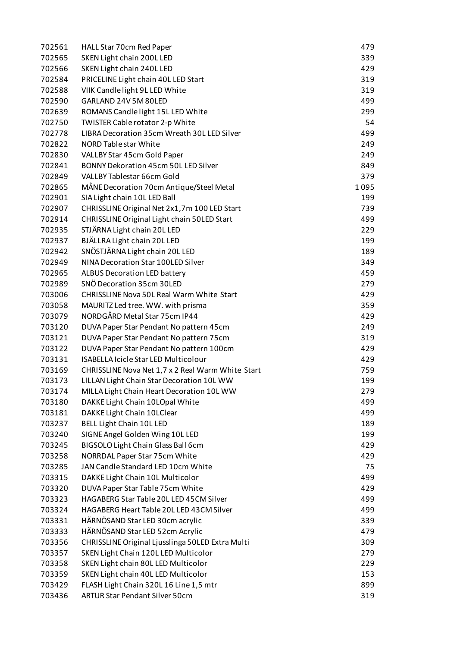| 702561 | HALL Star 70cm Red Paper                          | 479  |
|--------|---------------------------------------------------|------|
| 702565 | SKEN Light chain 200L LED                         | 339  |
| 702566 | SKEN Light chain 240L LED                         | 429  |
| 702584 | PRICELINE Light chain 40L LED Start               | 319  |
| 702588 | VIIK Candle light 9L LED White                    | 319  |
| 702590 | GARLAND 24V 5M 80LED                              | 499  |
| 702639 | ROMANS Candle light 15L LED White                 | 299  |
| 702750 | TWISTER Cable rotator 2-p White                   | 54   |
| 702778 | LIBRA Decoration 35cm Wreath 30L LED Silver       | 499  |
| 702822 | NORD Table star White                             | 249  |
| 702830 | VALLBY Star 45cm Gold Paper                       | 249  |
| 702841 | BONNY Dekoration 45cm 50L LED Silver              | 849  |
| 702849 | VALLBY Tablestar 66cm Gold                        | 379  |
| 702865 | MÅNE Decoration 70cm Antique/Steel Metal          | 1095 |
| 702901 | SIA Light chain 10L LED Ball                      | 199  |
| 702907 | CHRISSLINE Original Net 2x1,7m 100 LED Start      | 739  |
| 702914 | CHRISSLINE Original Light chain 50LED Start       | 499  |
| 702935 | STJÄRNA Light chain 20L LED                       | 229  |
| 702937 | BJÄLLRA Light chain 20L LED                       | 199  |
| 702942 | SNÖSTJÄRNA Light chain 20L LED                    | 189  |
| 702949 | NINA Decoration Star 100LED Silver                | 349  |
| 702965 | <b>ALBUS Decoration LED battery</b>               | 459  |
| 702989 | SNÖ Decoration 35cm 30LED                         | 279  |
| 703006 | CHRISSLINE Nova 50L Real Warm White Start         | 429  |
| 703058 | MAURITZ Led tree. WW. with prisma                 | 359  |
| 703079 | NORDGÅRD Metal Star 75cm IP44                     | 429  |
| 703120 | DUVA Paper Star Pendant No pattern 45cm           | 249  |
| 703121 | DUVA Paper Star Pendant No pattern 75cm           | 319  |
| 703122 | DUVA Paper Star Pendant No pattern 100cm          | 429  |
| 703131 | <b>ISABELLA Icicle Star LED Multicolour</b>       | 429  |
| 703169 | CHRISSLINE Nova Net 1,7 x 2 Real Warm White Start | 759  |
| 703173 | LILLAN Light Chain Star Decoration 10L WW         | 199  |
| 703174 | MILLA Light Chain Heart Decoration 10L WW         | 279  |
| 703180 | DAKKE Light Chain 10LOpal White                   | 499  |
| 703181 | DAKKE Light Chain 10LClear                        | 499  |
| 703237 | <b>BELL Light Chain 10L LED</b>                   | 189  |
| 703240 | SIGNE Angel Golden Wing 10L LED                   | 199  |
| 703245 | BIGSOLO Light Chain Glass Ball 6cm                | 429  |
| 703258 | NORRDAL Paper Star 75cm White                     | 429  |
| 703285 | JAN Candle Standard LED 10cm White                | 75   |
| 703315 | DAKKE Light Chain 10L Multicolor                  | 499  |
| 703320 | DUVA Paper Star Table 75cm White                  | 429  |
| 703323 | HAGABERG Star Table 20L LED 45CM Silver           | 499  |
| 703324 | HAGABERG Heart Table 20L LED 43CM Silver          | 499  |
| 703331 | HÄRNÖSAND Star LED 30cm acrylic                   | 339  |
| 703333 | HÄRNÖSAND Star LED 52cm Acrylic                   | 479  |
| 703356 | CHRISSLINE Original Ljusslinga 50LED Extra Multi  | 309  |
| 703357 | SKEN Light Chain 120L LED Multicolor              | 279  |
| 703358 | SKEN Light chain 80L LED Multicolor               | 229  |
| 703359 | SKEN Light chain 40L LED Multicolor               | 153  |
| 703429 | FLASH Light Chain 320L 16 Line 1,5 mtr            | 899  |
| 703436 | <b>ARTUR Star Pendant Silver 50cm</b>             | 319  |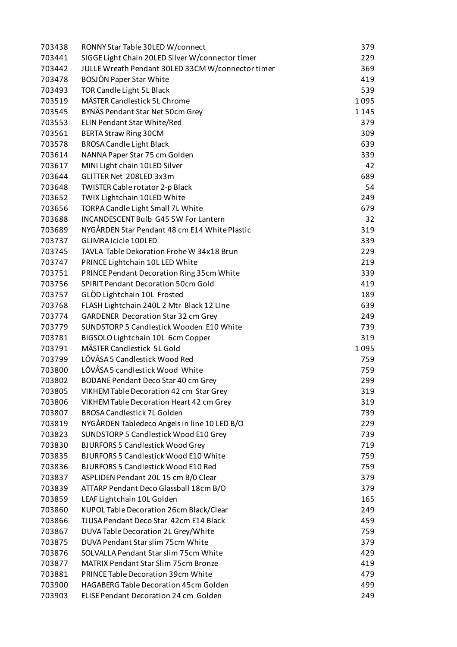| 703438 | RONNY Star Table 30LED W/connect                  | 379     |
|--------|---------------------------------------------------|---------|
| 703441 | SIGGE Light Chain 20LED Silver W/connector timer  | 229     |
| 703442 | JULLE Wreath Pendant 30LED 33CM W/connector timer | 369     |
| 703478 | BOSJÖN Paper Star White                           | 419     |
| 703493 | TOR Candle Light 5L Black                         | 539     |
| 703519 | MÄSTER Candlestick 5L Chrome                      | 1095    |
| 703545 | BYNÄS Pendant Star Net 50cm Grey                  | 1 1 4 5 |
| 703553 | ELIN Pendant Star White/Red                       | 379     |
| 703561 | <b>BERTA Straw Ring 30CM</b>                      | 309     |
| 703578 | <b>BROSA Candle Light Black</b>                   | 639     |
| 703614 | NANNA Paper Star 75 cm Golden                     | 339     |
| 703617 | MINI Light chain 10LED Silver                     | 42      |
| 703644 | GLITTER Net 208LED 3x3m                           | 689     |
| 703648 | TWISTER Cable rotator 2-p Black                   | 54      |
| 703652 | TWIX Lightchain 10LED White                       | 249     |
| 703656 | TORPA Candle Light Small 7L White                 | 679     |
| 703688 | INCANDESCENT Bulb G45 5W For Lantern              | 32      |
| 703689 | NYGÅRDEN Star Pendant 48 cm E14 White Plastic     | 319     |
| 703737 | GLIMRA Icicle 100LED                              | 339     |
| 703745 | TAVLA Table Dekoration Frohe W 34x18 Brun         | 229     |
| 703747 | PRINCE Lightchain 10L LED White                   | 219     |
| 703751 | PRINCE Pendant Decoration Ring 35cm White         | 339     |
| 703756 | <b>SPIRIT Pendant Decoration 50cm Gold</b>        | 419     |
| 703757 | GLÖD Lightchain 10L Frosted                       | 189     |
| 703768 | FLASH Lightchain 240L 2 Mtr Black 12 Line         | 639     |
| 703774 | <b>GARDENER Decoration Star 32 cm Grey</b>        | 249     |
| 703779 | SUNDSTORP 5 Candlestick Wooden E10 White          | 739     |
| 703781 | BIGSOLO Lightchain 10L 6cm Copper                 | 319     |
| 703791 | MÄSTER Candlestick 5L Gold                        | 1095    |
| 703799 | LÖVÅSA 5 Candlestick Wood Red                     | 759     |
| 703800 | LÖVÅSA 5 candlestick Wood White                   | 759     |
| 703802 | BODANE Pendant Deco Star 40 cm Grey               | 299     |
| 703805 | VIKHEM Table Decoration 42 cm Star Grey           | 319     |
| 703806 | VIKHEM Table Decoration Heart 42 cm Grey          | 319     |
| 703807 | <b>BROSA Candlestick 7L Golden</b>                | 739     |
| 703819 | NYGÅRDEN Tabledeco Angels in line 10 LED B/O      | 229     |
| 703823 | SUNDSTORP 5 Candlestick Wood E10 Grey             | 739     |
| 703830 | <b>BJURFORS 5 Candlestick Wood Grey</b>           | 719     |
| 703835 | <b>BJURFORS 5 Candlestick Wood E10 White</b>      | 759     |
| 703836 | <b>BJURFORS 5 Candlestick Wood E10 Red</b>        | 759     |
| 703837 | ASPLIDEN Pendant 20L 15 cm B/0 Clear              | 379     |
| 703839 | ATTARP Pendant Deco Glassball 18cm B/O            | 379     |
| 703859 | LEAF Lightchain 10L Golden                        | 165     |
| 703860 | KUPOL Table Decoration 26cm Black/Clear           | 249     |
| 703866 | TJUSA Pendant Deco Star 42cm E14 Black            | 459     |
| 703867 | DUVA Table Decoration 2L Grey/White               | 759     |
| 703875 | DUVA Pendant Star slim 75cm White                 | 379     |
| 703876 | SOLVALLA Pendant Star slim 75cm White             | 429     |
| 703877 | <b>MATRIX Pendant Star Slim 75cm Bronze</b>       | 419     |
| 703881 | <b>PRINCE Table Decoration 39cm White</b>         | 479     |
| 703900 | HAGABERG Table Decoration 45cm Golden             | 499     |
| 703903 | ELISE Pendant Decoration 24 cm Golden             | 249     |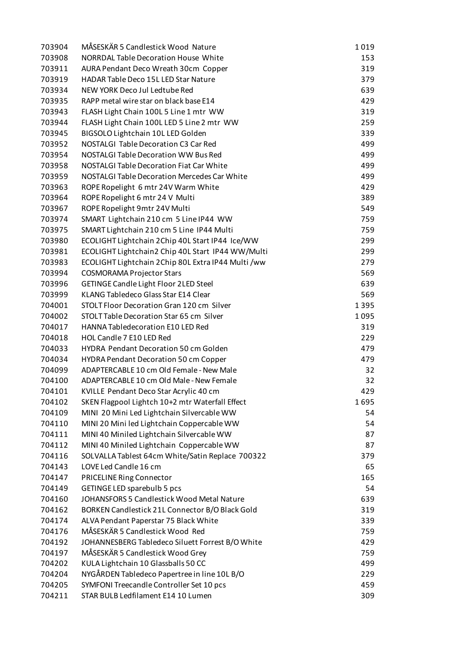| 703904 | MÅSESKÄR 5 Candlestick Wood Nature                 | 1019 |
|--------|----------------------------------------------------|------|
| 703908 | <b>NORRDAL Table Decoration House White</b>        | 153  |
| 703911 | AURA Pendant Deco Wreath 30cm Copper               | 319  |
| 703919 | HADAR Table Deco 15L LED Star Nature               | 379  |
| 703934 | NEW YORK Deco Jul Ledtube Red                      | 639  |
| 703935 | RAPP metal wire star on black base E14             | 429  |
| 703943 | FLASH Light Chain 100L 5 Line 1 mtr WW             | 319  |
| 703944 | FLASH Light Chain 100L LED 5 Line 2 mtr WW         | 259  |
| 703945 | BIGSOLO Lightchain 10L LED Golden                  | 339  |
| 703952 | <b>NOSTALGI Table Decoration C3 Car Red</b>        | 499  |
| 703954 | NOSTALGI Table Decoration WW Bus Red               | 499  |
| 703958 | <b>NOSTALGI Table Decoration Fiat Car White</b>    | 499  |
| 703959 | NOSTALGI Table Decoration Mercedes Car White       | 499  |
| 703963 | ROPE Ropelight 6 mtr 24V Warm White                | 429  |
| 703964 | ROPE Ropelight 6 mtr 24 V Multi                    | 389  |
| 703967 | ROPE Ropelight 9mtr 24V Multi                      | 549  |
| 703974 | SMART Lightchain 210 cm 5 Line IP44 WW             | 759  |
| 703975 | SMART Lightchain 210 cm 5 Line IP44 Multi          | 759  |
| 703980 | ECOLIGHT Lightchain 2Chip 40L Start IP44 Ice/WW    | 299  |
| 703981 | ECOLIGHT Lightchain2 Chip 40L Start IP44 WW/Multi  | 299  |
| 703983 | ECOLIGHT Lightchain 2 Chip 80L Extra IP44 Multi/ww | 279  |
| 703994 | <b>COSMORAMA Projector Stars</b>                   | 569  |
| 703996 | GETINGE Candle Light Floor 2LED Steel              | 639  |
| 703999 | KLANG Tabledeco Glass Star E14 Clear               | 569  |
| 704001 | STOLT Floor Decoration Gran 120 cm Silver          | 1395 |
| 704002 | STOLT Table Decoration Star 65 cm Silver           | 1095 |
| 704017 | HANNA Tabledecoration E10 LED Red                  | 319  |
| 704018 | HOL Candle 7 E10 LED Red                           | 229  |
| 704033 | HYDRA Pendant Decoration 50 cm Golden              | 479  |
| 704034 | <b>HYDRA Pendant Decoration 50 cm Copper</b>       | 479  |
| 704099 | ADAPTERCABLE 10 cm Old Female - New Male           | 32   |
| 704100 | ADAPTERCABLE 10 cm Old Male - New Female           | 32   |
| 704101 | KVILLE Pendant Deco Star Acrylic 40 cm             | 429  |
| 704102 | SKEN Flagpool Lightch 10+2 mtr Waterfall Effect    | 1695 |
| 704109 | MINI 20 Mini Led Lightchain Silvercable WW         | 54   |
| 704110 | MINI 20 Mini led Lightchain Coppercable WW         | 54   |
| 704111 | MINI 40 Miniled Lightchain Silvercable WW          | 87   |
| 704112 | MINI 40 Miniled Lightchain Coppercable WW          | 87   |
| 704116 | SOLVALLA Tablest 64cm White/Satin Replace 700322   | 379  |
| 704143 | LOVE Led Candle 16 cm                              | 65   |
| 704147 | PRICELINE Ring Connector                           | 165  |
| 704149 | GETINGE LED sparebulb 5 pcs                        | 54   |
| 704160 | JOHANSFORS 5 Candlestick Wood Metal Nature         | 639  |
| 704162 | BORKEN Candlestick 21L Connector B/O Black Gold    | 319  |
| 704174 | ALVA Pendant Paperstar 75 Black White              | 339  |
| 704176 | MÅSESKÄR 5 Candlestick Wood Red                    | 759  |
| 704192 | JOHANNESBERG Tabledeco Siluett Forrest B/O White   | 429  |
| 704197 | MÅSESKÄR 5 Candlestick Wood Grey                   | 759  |
| 704202 | KULA Lightchain 10 Glassballs 50 CC                | 499  |
| 704204 | NYGÅRDEN Tabledeco Papertree in line 10L B/O       | 229  |
| 704205 | SYMFONI Treecandle Controller Set 10 pcs           | 459  |
| 704211 | STAR BULB Ledfilament E14 10 Lumen                 | 309  |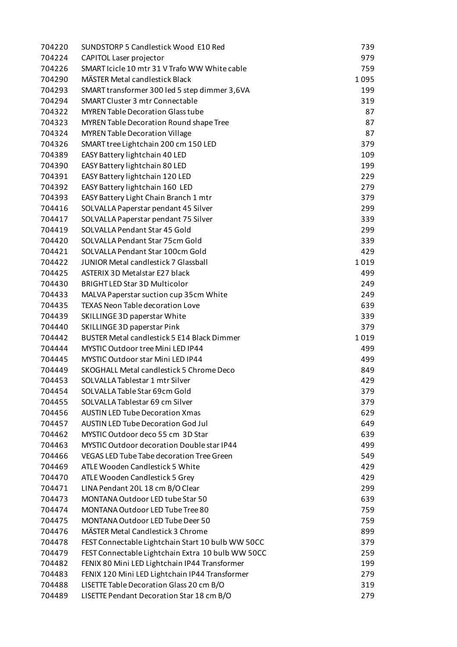| 704220 | SUNDSTORP 5 Candlestick Wood E10 Red               | 739  |
|--------|----------------------------------------------------|------|
| 704224 | CAPITOL Laser projector                            | 979  |
| 704226 | SMART Icicle 10 mtr 31 V Trafo WW White cable      | 759  |
| 704290 | MÄSTER Metal candlestick Black                     | 1095 |
| 704293 | SMART transformer 300 led 5 step dimmer 3,6VA      | 199  |
| 704294 | <b>SMART Cluster 3 mtr Connectable</b>             | 319  |
| 704322 | <b>MYREN Table Decoration Glass tube</b>           | 87   |
| 704323 | <b>MYREN Table Decoration Round shape Tree</b>     | 87   |
| 704324 | <b>MYREN Table Decoration Village</b>              | 87   |
| 704326 | SMART tree Lightchain 200 cm 150 LED               | 379  |
| 704389 | EASY Battery lightchain 40 LED                     | 109  |
| 704390 | EASY Battery lightchain 80 LED                     | 199  |
| 704391 | EASY Battery lightchain 120 LED                    | 229  |
| 704392 | EASY Battery lightchain 160 LED                    | 279  |
| 704393 | EASY Battery Light Chain Branch 1 mtr              | 379  |
| 704416 | SOLVALLA Paperstar pendant 45 Silver               | 299  |
| 704417 | SOLVALLA Paperstar pendant 75 Silver               | 339  |
| 704419 | SOLVALLA Pendant Star 45 Gold                      | 299  |
| 704420 | SOLVALLA Pendant Star 75cm Gold                    | 339  |
| 704421 | SOLVALLA Pendant Star 100cm Gold                   | 429  |
| 704422 | JUNIOR Metal candlestick 7 Glassball               | 1019 |
| 704425 | <b>ASTERIX 3D Metalstar E27 black</b>              | 499  |
| 704430 | <b>BRIGHT LED Star 3D Multicolor</b>               | 249  |
| 704433 | MALVA Paperstar suction cup 35cm White             | 249  |
| 704435 | <b>TEXAS Neon Table decoration Love</b>            | 639  |
| 704439 | SKILLINGE 3D paperstar White                       | 339  |
| 704440 | SKILLINGE 3D paperstar Pink                        | 379  |
| 704442 | <b>BUSTER Metal candlestick 5 E14 Black Dimmer</b> | 1019 |
| 704444 | <b>MYSTIC Outdoor tree Mini LED IP44</b>           | 499  |
| 704445 | MYSTIC Outdoor star Mini LED IP44                  | 499  |
| 704449 | SKOGHALL Metal candlestick 5 Chrome Deco           | 849  |
| 704453 | SOLVALLA Tablestar 1 mtr Silver                    | 429  |
| 704454 | SOLVALLA Table Star 69cm Gold                      | 379  |
| 704455 | SOLVALLA Tablestar 69 cm Silver                    | 379  |
| 704456 | <b>AUSTIN LED Tube Decoration Xmas</b>             | 629  |
| 704457 | <b>AUSTIN LED Tube Decoration God Jul</b>          | 649  |
| 704462 | MYSTIC Outdoor deco 55 cm 3D Star                  | 639  |
| 704463 | <b>MYSTIC Outdoor decoration Double star IP44</b>  | 499  |
| 704466 | VEGAS LED Tube Tabe decoration Tree Green          | 549  |
| 704469 | ATLE Wooden Candlestick 5 White                    | 429  |
| 704470 | ATLE Wooden Candlestick 5 Grey                     | 429  |
| 704471 | LINA Pendant 20L 18 cm B/O Clear                   | 299  |
| 704473 | MONTANA Outdoor LED tube Star 50                   | 639  |
| 704474 | <b>MONTANA Outdoor LED Tube Tree 80</b>            | 759  |
| 704475 | MONTANA Outdoor LED Tube Deer 50                   | 759  |
| 704476 | <b>MÄSTER Metal Candlestick 3 Chrome</b>           | 899  |
| 704478 | FEST Connectable Lightchain Start 10 bulb WW 50CC  | 379  |
| 704479 | FEST Connectable Lightchain Extra 10 bulb WW 50CC  | 259  |
| 704482 | FENIX 80 Mini LED Lightchain IP44 Transformer      | 199  |
| 704483 | FENIX 120 Mini LED Lightchain IP44 Transformer     | 279  |
| 704488 | LISETTE Table Decoration Glass 20 cm B/O           | 319  |
| 704489 | LISETTE Pendant Decoration Star 18 cm B/O          | 279  |
|        |                                                    |      |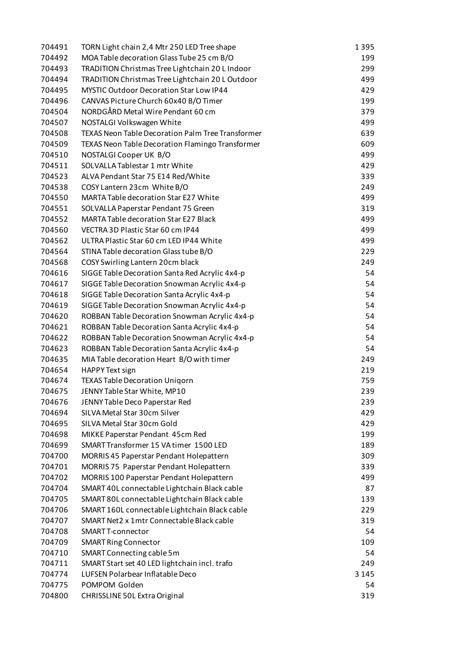| 704491 | TORN Light chain 2,4 Mtr 250 LED Tree shape             | 1395    |
|--------|---------------------------------------------------------|---------|
| 704492 | MOA Table decoration Glass Tube 25 cm B/O               | 199     |
| 704493 | TRADITION Christmas Tree Lightchain 20 L Indoor         | 299     |
| 704494 | TRADITION Christmas Tree Lightchain 20 L Outdoor        | 499     |
| 704495 | MYSTIC Outdoor Decoration Star Low IP44                 | 429     |
| 704496 | CANVAS Picture Church 60x40 B/O Timer                   | 199     |
| 704504 | NORDGÅRD Metal Wire Pendant 60 cm                       | 379     |
| 704507 | NOSTALGI Volkswagen White                               | 499     |
| 704508 | TEXAS Neon Table Decoration Palm Tree Transformer       | 639     |
| 704509 | <b>TEXAS Neon Table Decoration Flamingo Transformer</b> | 609     |
| 704510 | NOSTALGI Cooper UK B/O                                  | 499     |
| 704511 | SOLVALLA Tablestar 1 mtr White                          | 429     |
| 704523 | ALVA Pendant Star 75 E14 Red/White                      | 339     |
| 704538 | COSY Lantern 23cm White B/O                             | 249     |
| 704550 | MARTA Table decoration Star E27 White                   | 499     |
| 704551 | SOLVALLA Paperstar Pendant 75 Green                     | 319     |
| 704552 | <b>MARTA Table decoration Star E27 Black</b>            | 499     |
| 704560 | VECTRA 3D Plastic Star 60 cm IP44                       | 499     |
| 704562 | ULTRA Plastic Star 60 cm LED IP44 White                 | 499     |
| 704564 | STINA Table decoration Glass tube B/O                   | 229     |
| 704568 | COSY Swirling Lantern 20cm black                        | 249     |
| 704616 | SIGGE Table Decoration Santa Red Acrylic 4x4-p          | 54      |
| 704617 | SIGGE Table Decoration Snowman Acrylic 4x4-p            | 54      |
| 704618 | SIGGE Table Decoration Santa Acrylic 4x4-p              | 54      |
| 704619 | SIGGE Table Decoration Snowman Acrylic 4x4-p            | 54      |
| 704620 | ROBBAN Table Decoration Snowman Acrylic 4x4-p           | 54      |
| 704621 | ROBBAN Table Decoration Santa Acrylic 4x4-p             | 54      |
| 704622 | ROBBAN Table Decoration Snowman Acrylic 4x4-p           | 54      |
| 704623 | ROBBAN Table Decoration Santa Acrylic 4x4-p             | 54      |
| 704635 | MIA Table decoration Heart B/O with timer               | 249     |
| 704654 | HAPPY Text sign                                         | 219     |
| 704674 | <b>TEXAS Table Decoration Unigorn</b>                   | 759     |
| 704675 | JENNY Table Star White, MP10                            | 239     |
| 704676 | JENNY Table Deco Paperstar Red                          | 239     |
| 704694 | SILVA Metal Star 30cm Silver                            | 429     |
| 704695 | SILVA Metal Star 30cm Gold                              | 429     |
| 704698 | MIKKE Paperstar Pendant 45cm Red                        | 199     |
| 704699 | SMART Transformer 15 VA timer 1500 LED                  | 189     |
| 704700 | MORRIS 45 Paperstar Pendant Holepattern                 | 309     |
| 704701 | MORRIS 75 Paperstar Pendant Holepattern                 | 339     |
| 704702 | <b>MORRIS 100 Paperstar Pendant Holepattern</b>         | 499     |
| 704704 | SMART 40L connectable Lightchain Black cable            | 87      |
| 704705 | SMART 80L connectable Lightchain Black cable            | 139     |
| 704706 | SMART 160L connectable Lightchain Black cable           | 229     |
| 704707 | SMART Net2 x 1mtr Connectable Black cable               | 319     |
| 704708 | SMART T-connector                                       | 54      |
| 704709 | <b>SMART Ring Connector</b>                             | 109     |
| 704710 | SMART Connecting cable 5m                               | 54      |
| 704711 | SMART Start set 40 LED lightchain incl. trafo           | 249     |
| 704774 | LUFSEN Polarbear Inflatable Deco                        | 3 1 4 5 |
| 704775 | POMPOM Golden                                           | 54      |
| 704800 | CHRISSLINE 50L Extra Original                           | 319     |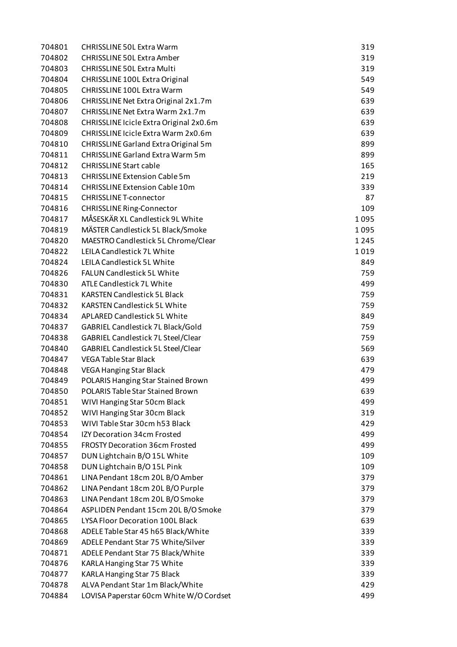| 704801 | <b>CHRISSLINE 50L Extra Warm</b>        | 319  |
|--------|-----------------------------------------|------|
| 704802 | <b>CHRISSLINE 50L Extra Amber</b>       | 319  |
| 704803 | <b>CHRISSLINE 50L Extra Multi</b>       | 319  |
| 704804 | CHRISSLINE 100L Extra Original          | 549  |
| 704805 | <b>CHRISSLINE 100L Extra Warm</b>       | 549  |
| 704806 | CHRISSLINE Net Extra Original 2x1.7m    | 639  |
| 704807 | CHRISSLINE Net Extra Warm 2x1.7m        | 639  |
| 704808 | CHRISSLINE Icicle Extra Original 2x0.6m | 639  |
| 704809 | CHRISSLINE Icicle Extra Warm 2x0.6m     | 639  |
| 704810 | CHRISSLINE Garland Extra Original 5m    | 899  |
| 704811 | <b>CHRISSLINE Garland Extra Warm 5m</b> | 899  |
| 704812 | <b>CHRISSLINE Start cable</b>           | 165  |
| 704813 | <b>CHRISSLINE Extension Cable 5m</b>    | 219  |
| 704814 | <b>CHRISSLINE Extension Cable 10m</b>   | 339  |
| 704815 | <b>CHRISSLINE T-connector</b>           | 87   |
| 704816 | <b>CHRISSLINE Ring-Connector</b>        | 109  |
| 704817 | MÅSESKÄR XL Candlestick 9L White        | 1095 |
| 704819 | MÄSTER Candlestick 5L Black/Smoke       | 1095 |
| 704820 | MAESTRO Candlestick 5L Chrome/Clear     | 1245 |
| 704822 | <b>LEILA Candlestick 7L White</b>       | 1019 |
| 704824 | LEILA Candlestick 5L White              | 849  |
| 704826 | <b>FALUN Candlestick 5L White</b>       | 759  |
| 704830 | ATLE Candlestick 7L White               | 499  |
| 704831 | <b>KARSTEN Candlestick 5L Black</b>     | 759  |
| 704832 | <b>KARSTEN Candlestick 5L White</b>     | 759  |
| 704834 | <b>APLARED Candlestick 5L White</b>     | 849  |
| 704837 | GABRIEL Candlestick 7L Black/Gold       | 759  |
| 704838 | GABRIEL Candlestick 7L Steel/Clear      | 759  |
| 704840 | GABRIEL Candlestick 5L Steel/Clear      | 569  |
| 704847 | <b>VEGA Table Star Black</b>            | 639  |
| 704848 | <b>VEGA Hanging Star Black</b>          | 479  |
| 704849 | POLARIS Hanging Star Stained Brown      | 499  |
| 704850 | POLARIS Table Star Stained Brown        | 639  |
| 704851 | WIVI Hanging Star 50cm Black            | 499  |
| 704852 | WIVI Hanging Star 30cm Black            | 319  |
| 704853 | WIVI Table Star 30cm h53 Black          | 429  |
| 704854 | IZY Decoration 34cm Frosted             | 499  |
| 704855 | <b>FROSTY Decoration 36cm Frosted</b>   | 499  |
| 704857 | DUN Lightchain B/O 15L White            | 109  |
| 704858 | DUN Lightchain B/O 15L Pink             | 109  |
| 704861 | LINA Pendant 18cm 20L B/O Amber         | 379  |
| 704862 | LINA Pendant 18cm 20L B/O Purple        | 379  |
| 704863 | LINA Pendant 18cm 20L B/O Smoke         | 379  |
| 704864 | ASPLIDEN Pendant 15cm 20L B/O Smoke     | 379  |
| 704865 | LYSA Floor Decoration 100L Black        | 639  |
| 704868 | ADELE Table Star 45 h65 Black/White     | 339  |
| 704869 | ADELE Pendant Star 75 White/Silver      | 339  |
| 704871 | ADELE Pendant Star 75 Black/White       | 339  |
| 704876 | KARLA Hanging Star 75 White             | 339  |
| 704877 | <b>KARLA Hanging Star 75 Black</b>      | 339  |
| 704878 | ALVA Pendant Star 1m Black/White        | 429  |
| 704884 | LOVISA Paperstar 60cm White W/O Cordset | 499  |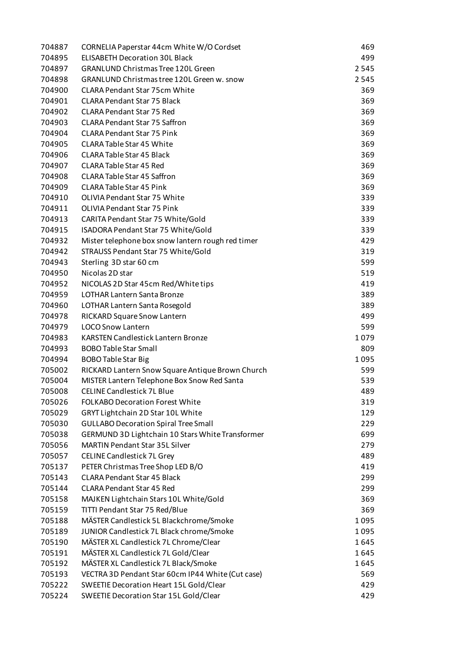| 704887 | CORNELIA Paperstar 44cm White W/O Cordset         | 469  |
|--------|---------------------------------------------------|------|
| 704895 | <b>ELISABETH Decoration 30L Black</b>             | 499  |
| 704897 | <b>GRANLUND Christmas Tree 120L Green</b>         | 2545 |
| 704898 | GRANLUND Christmas tree 120L Green w. snow        | 2545 |
| 704900 | <b>CLARA Pendant Star 75cm White</b>              | 369  |
| 704901 | <b>CLARA Pendant Star 75 Black</b>                | 369  |
| 704902 | <b>CLARA Pendant Star 75 Red</b>                  | 369  |
| 704903 | <b>CLARA Pendant Star 75 Saffron</b>              | 369  |
| 704904 | <b>CLARA Pendant Star 75 Pink</b>                 | 369  |
| 704905 | <b>CLARA Table Star 45 White</b>                  | 369  |
| 704906 | <b>CLARA Table Star 45 Black</b>                  | 369  |
| 704907 | <b>CLARA Table Star 45 Red</b>                    | 369  |
| 704908 | <b>CLARA Table Star 45 Saffron</b>                | 369  |
| 704909 | <b>CLARA Table Star 45 Pink</b>                   | 369  |
| 704910 | <b>OLIVIA Pendant Star 75 White</b>               | 339  |
| 704911 | OLIVIA Pendant Star 75 Pink                       | 339  |
| 704913 | CARITA Pendant Star 75 White/Gold                 | 339  |
| 704915 | ISADORA Pendant Star 75 White/Gold                | 339  |
| 704932 | Mister telephone box snow lantern rough red timer | 429  |
| 704942 | STRAUSS Pendant Star 75 White/Gold                | 319  |
| 704943 | Sterling 3D star 60 cm                            | 599  |
| 704950 | Nicolas 2D star                                   | 519  |
| 704952 | NICOLAS 2D Star 45cm Red/White tips               | 419  |
| 704959 | <b>LOTHAR Lantern Santa Bronze</b>                | 389  |
| 704960 | LOTHAR Lantern Santa Rosegold                     | 389  |
| 704978 | <b>RICKARD Square Snow Lantern</b>                | 499  |
| 704979 | <b>LOCO Snow Lantern</b>                          | 599  |
| 704983 | <b>KARSTEN Candlestick Lantern Bronze</b>         | 1079 |
| 704993 | <b>BOBO Table Star Small</b>                      | 809  |
| 704994 | <b>BOBO Table Star Big</b>                        | 1095 |
| 705002 | RICKARD Lantern Snow Square Antique Brown Church  | 599  |
| 705004 | MISTER Lantern Telephone Box Snow Red Santa       | 539  |
| 705008 | <b>CELINE Candlestick 7L Blue</b>                 | 489  |
| 705026 | <b>FOLKABO Decoration Forest White</b>            | 319  |
| 705029 | GRYT Lightchain 2D Star 10L White                 | 129  |
| 705030 | <b>GULLABO Decoration Spiral Tree Small</b>       | 229  |
| 705038 | GERMUND 3D Lightchain 10 Stars White Transformer  | 699  |
| 705056 | <b>MARTIN Pendant Star 35L Silver</b>             | 279  |
| 705057 | <b>CELINE Candlestick 7L Grey</b>                 | 489  |
| 705137 | PETER Christmas Tree Shop LED B/O                 | 419  |
| 705143 | <b>CLARA Pendant Star 45 Black</b>                | 299  |
| 705144 | <b>CLARA Pendant Star 45 Red</b>                  | 299  |
| 705158 | MAJKEN Lightchain Stars 10L White/Gold            | 369  |
| 705159 | TITTI Pendant Star 75 Red/Blue                    | 369  |
| 705188 | MÄSTER Candlestick 5L Blackchrome/Smoke           | 1095 |
| 705189 | JUNIOR Candlestick 7L Black chrome/Smoke          | 1095 |
| 705190 | MÄSTER XL Candlestick 7L Chrome/Clear             | 1645 |
| 705191 | MÄSTER XL Candlestick 7L Gold/Clear               | 1645 |
| 705192 | MÄSTER XL Candlestick 7L Black/Smoke              | 1645 |
| 705193 | VECTRA 3D Pendant Star 60cm IP44 White (Cut case) | 569  |
| 705222 | SWEETIE Decoration Heart 15L Gold/Clear           | 429  |
| 705224 | SWEETIE Decoration Star 15L Gold/Clear            | 429  |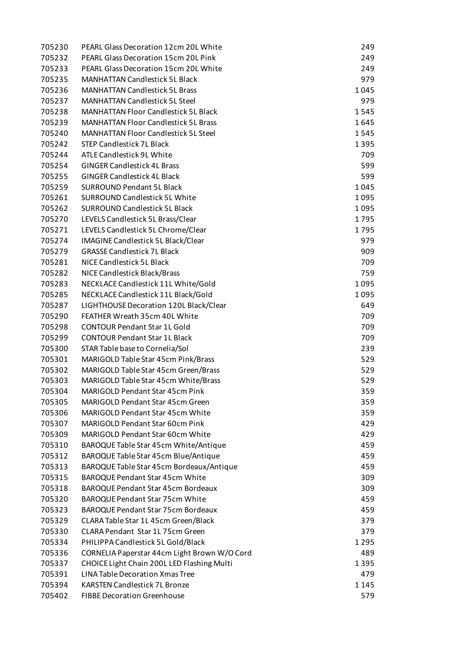| 705230 | PEARL Glass Decoration 12cm 20L White        | 249  |
|--------|----------------------------------------------|------|
| 705232 | PEARL Glass Decoration 15cm 20L Pink         | 249  |
| 705233 | PEARL Glass Decoration 15cm 20L White        | 249  |
| 705235 | <b>MANHATTAN Candlestick 5L Black</b>        | 979  |
| 705236 | <b>MANHATTAN Candlestick 5L Brass</b>        | 1045 |
| 705237 | <b>MANHATTAN Candlestick 5L Steel</b>        | 979  |
| 705238 | <b>MANHATTAN Floor Candlestick 5L Black</b>  | 1545 |
| 705239 | <b>MANHATTAN Floor Candlestick 5L Brass</b>  | 1645 |
| 705240 | <b>MANHATTAN Floor Candlestick 5L Steel</b>  | 1545 |
| 705242 | <b>STEP Candlestick 7L Black</b>             | 1395 |
| 705244 | ATLE Candlestick 9L White                    | 709  |
| 705254 | <b>GINGER Candlestick 4L Brass</b>           | 599  |
| 705255 | <b>GINGER Candlestick 4L Black</b>           | 599  |
| 705259 | <b>SURROUND Pendant 5L Black</b>             | 1045 |
| 705261 | <b>SURROUND Candlestick 5L White</b>         | 1095 |
| 705262 | <b>SURROUND Candlestick 5L Black</b>         | 1095 |
| 705270 | LEVELS Candlestick 5L Brass/Clear            | 1795 |
| 705271 | LEVELS Candlestick 5L Chrome/Clear           | 1795 |
| 705274 | IMAGINE Candlestick 5L Black/Clear           | 979  |
| 705279 | <b>GRASSE Candlestick 7L Black</b>           | 909  |
| 705281 | NICE Candlestick 5L Black                    | 709  |
| 705282 | NICE Candlestick Black/Brass                 | 759  |
| 705283 | NECKLACE Candlestick 11L White/Gold          | 1095 |
| 705285 | NECKLACE Candlestick 11L Black/Gold          | 1095 |
| 705287 | LIGHTHOUSE Decoration 120L Black/Clear       | 649  |
| 705290 | FEATHER Wreath 35cm 40L White                | 709  |
| 705298 | <b>CONTOUR Pendant Star 1L Gold</b>          | 709  |
| 705299 | <b>CONTOUR Pendant Star 1L Black</b>         | 709  |
| 705300 | STAR Table base to Cornelia/Sol              | 239  |
| 705301 | MARIGOLD Table Star 45cm Pink/Brass          | 529  |
| 705302 | MARIGOLD Table Star 45cm Green/Brass         | 529  |
| 705303 | MARIGOLD Table Star 45cm White/Brass         | 529  |
| 705304 | MARIGOLD Pendant Star 45cm Pink              | 359  |
| 705305 | <b>MARIGOLD Pendant Star 45cm Green</b>      | 359  |
| 705306 | <b>MARIGOLD Pendant Star 45cm White</b>      | 359  |
| 705307 | <b>MARIGOLD Pendant Star 60cm Pink</b>       | 429  |
| 705309 | <b>MARIGOLD Pendant Star 60cm White</b>      | 429  |
| 705310 | BAROQUE Table Star 45cm White/Antique        | 459  |
| 705312 | BAROQUE Table Star 45cm Blue/Antique         | 459  |
| 705313 | BAROQUE Table Star 45cm Bordeaux/Antique     | 459  |
| 705315 | <b>BAROQUE Pendant Star 45cm White</b>       | 309  |
| 705318 | <b>BAROQUE Pendant Star 45cm Bordeaux</b>    | 309  |
| 705320 | <b>BAROQUE Pendant Star 75cm White</b>       | 459  |
| 705323 | <b>BAROQUE Pendant Star 75cm Bordeaux</b>    | 459  |
| 705329 | CLARA Table Star 1L 45cm Green/Black         | 379  |
| 705330 | CLARA Pendant Star 1L75cm Green              | 379  |
| 705334 | PHILIPPA Candlestick 5L Gold/Black           | 1295 |
| 705336 | CORNELIA Paperstar 44cm Light Brown W/O Cord | 489  |
| 705337 | CHOICE Light Chain 200L LED Flashing Multi   | 1395 |
| 705391 | <b>LINA Table Decoration Xmas Tree</b>       | 479  |
| 705394 | <b>KARSTEN Candlestick 7L Bronze</b>         | 1145 |
| 705402 | <b>FIBBE Decoration Greenhouse</b>           | 579  |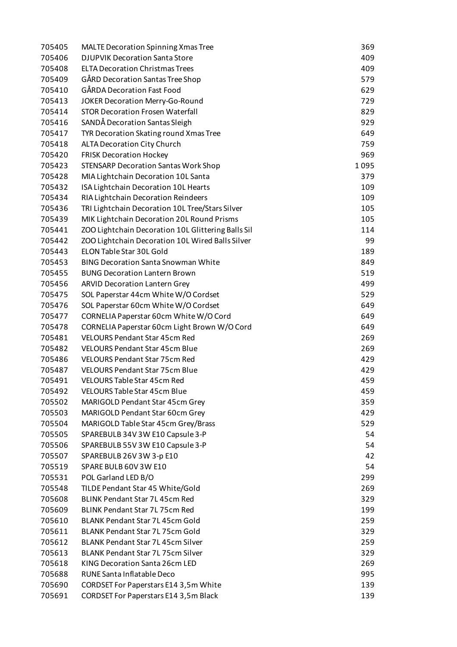| 705405 | <b>MALTE Decoration Spinning Xmas Tree</b>         | 369  |
|--------|----------------------------------------------------|------|
| 705406 | <b>DJUPVIK Decoration Santa Store</b>              | 409  |
| 705408 | <b>ELTA Decoration Christmas Trees</b>             | 409  |
| 705409 | GÅRD Decoration Santas Tree Shop                   | 579  |
| 705410 | <b>GÅRDA Decoration Fast Food</b>                  | 629  |
| 705413 | JOKER Decoration Merry-Go-Round                    | 729  |
| 705414 | <b>STOR Decoration Frosen Waterfall</b>            | 829  |
| 705416 | SANDĂ Decoration Santas Sleigh                     | 929  |
| 705417 | TYR Decoration Skating round Xmas Tree             | 649  |
| 705418 | ALTA Decoration City Church                        | 759  |
| 705420 | <b>FRISK Decoration Hockey</b>                     | 969  |
| 705423 | <b>STENSARP Decoration Santas Work Shop</b>        | 1095 |
| 705428 | MIA Lightchain Decoration 10L Santa                | 379  |
| 705432 | ISA Lightchain Decoration 10L Hearts               | 109  |
| 705434 | RIA Lightchain Decoration Reindeers                | 109  |
| 705436 | TRI Lightchain Decoration 10L Tree/Stars Silver    | 105  |
| 705439 | MIK Lightchain Decoration 20L Round Prisms         | 105  |
| 705441 | ZOO Lightchain Decoration 10L Glittering Balls Sil | 114  |
| 705442 | ZOO Lightchain Decoration 10L Wired Balls Silver   | 99   |
| 705443 | ELON Table Star 30L Gold                           | 189  |
| 705453 | <b>BING Decoration Santa Snowman White</b>         | 849  |
| 705455 | <b>BUNG Decoration Lantern Brown</b>               | 519  |
| 705456 | <b>ARVID Decoration Lantern Grey</b>               | 499  |
| 705475 | SOL Paperstar 44cm White W/O Cordset               | 529  |
| 705476 | SOL Paperstar 60cm White W/O Cordset               | 649  |
| 705477 | CORNELIA Paperstar 60cm White W/O Cord             | 649  |
| 705478 | CORNELIA Paperstar 60cm Light Brown W/O Cord       | 649  |
| 705481 | <b>VELOURS Pendant Star 45cm Red</b>               | 269  |
| 705482 | <b>VELOURS Pendant Star 45cm Blue</b>              | 269  |
| 705486 | <b>VELOURS Pendant Star 75cm Red</b>               | 429  |
| 705487 | <b>VELOURS Pendant Star 75cm Blue</b>              | 429  |
| 705491 | <b>VELOURS Table Star 45cm Red</b>                 | 459  |
| 705492 | <b>VELOURS Table Star 45cm Blue</b>                | 459  |
| 705502 | MARIGOLD Pendant Star 45cm Grey                    | 359  |
| 705503 | MARIGOLD Pendant Star 60cm Grey                    | 429  |
| 705504 | MARIGOLD Table Star 45cm Grey/Brass                | 529  |
| 705505 | SPAREBULB 34V 3W E10 Capsule 3-P                   | 54   |
| 705506 | SPAREBULB 55V 3W E10 Capsule 3-P                   | 54   |
| 705507 | SPAREBULB 26V 3W 3-p E10                           | 42   |
| 705519 | SPARE BULB 60V 3W E10                              | 54   |
| 705531 | POL Garland LED B/O                                | 299  |
| 705548 | TILDE Pendant Star 45 White/Gold                   | 269  |
| 705608 | BLINK Pendant Star 7L 45cm Red                     | 329  |
| 705609 | BLINK Pendant Star 7L 75cm Red                     | 199  |
| 705610 | BLANK Pendant Star 7L 45cm Gold                    | 259  |
| 705611 | <b>BLANK Pendant Star 7L 75cm Gold</b>             | 329  |
| 705612 | <b>BLANK Pendant Star 7L 45cm Silver</b>           | 259  |
| 705613 | <b>BLANK Pendant Star 7L 75cm Silver</b>           | 329  |
| 705618 | KING Decoration Santa 26cm LED                     | 269  |
| 705688 | RUNE Santa Inflatable Deco                         | 995  |
| 705690 | CORDSET For Paperstars E14 3,5m White              | 139  |
| 705691 | CORDSET For Paperstars E14 3,5m Black              | 139  |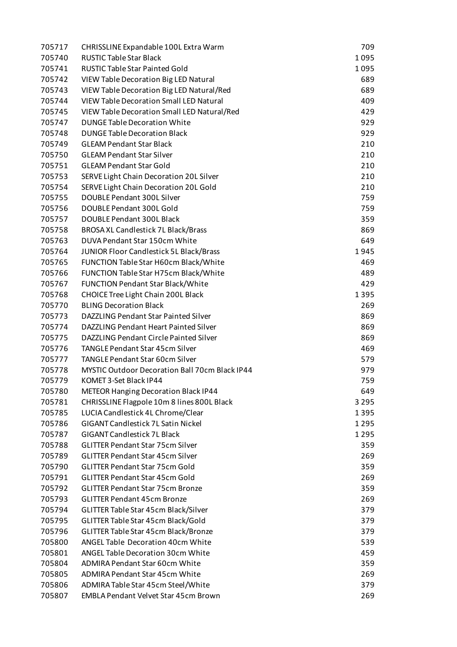| 705717 | CHRISSLINE Expandable 100L Extra Warm                 | 709     |
|--------|-------------------------------------------------------|---------|
| 705740 | <b>RUSTIC Table Star Black</b>                        | 1095    |
| 705741 | <b>RUSTIC Table Star Painted Gold</b>                 | 1095    |
| 705742 | VIEW Table Decoration Big LED Natural                 | 689     |
| 705743 | VIEW Table Decoration Big LED Natural/Red             | 689     |
| 705744 | <b>VIEW Table Decoration Small LED Natural</b>        | 409     |
| 705745 | VIEW Table Decoration Small LED Natural/Red           | 429     |
| 705747 | <b>DUNGE Table Decoration White</b>                   | 929     |
| 705748 | <b>DUNGE Table Decoration Black</b>                   | 929     |
| 705749 | <b>GLEAM Pendant Star Black</b>                       | 210     |
| 705750 | <b>GLEAM Pendant Star Silver</b>                      | 210     |
| 705751 | <b>GLEAM Pendant Star Gold</b>                        | 210     |
| 705753 | SERVE Light Chain Decoration 20L Silver               | 210     |
| 705754 | SERVE Light Chain Decoration 20L Gold                 | 210     |
| 705755 | DOUBLE Pendant 300L Silver                            | 759     |
| 705756 | DOUBLE Pendant 300L Gold                              | 759     |
| 705757 | DOUBLE Pendant 300L Black                             | 359     |
| 705758 | BROSA XL Candlestick 7L Black/Brass                   | 869     |
| 705763 | DUVA Pendant Star 150cm White                         | 649     |
| 705764 | JUNIOR Floor Candlestick 5L Black/Brass               | 1945    |
| 705765 | FUNCTION Table Star H60cm Black/White                 | 469     |
| 705766 | FUNCTION Table Star H75cm Black/White                 | 489     |
| 705767 | <b>FUNCTION Pendant Star Black/White</b>              | 429     |
| 705768 | CHOICE Tree Light Chain 200L Black                    | 1395    |
| 705770 | <b>BLING Decoration Black</b>                         | 269     |
| 705773 | DAZZLING Pendant Star Painted Silver                  | 869     |
| 705774 | DAZZLING Pendant Heart Painted Silver                 | 869     |
| 705775 | DAZZLING Pendant Circle Painted Silver                | 869     |
| 705776 | <b>TANGLE Pendant Star 45cm Silver</b>                | 469     |
| 705777 | <b>TANGLE Pendant Star 60cm Silver</b>                | 579     |
| 705778 | <b>MYSTIC Outdoor Decoration Ball 70cm Black IP44</b> | 979     |
| 705779 | KOMET 3-Set Black IP44                                | 759     |
| 705780 | <b>METEOR Hanging Decoration Black IP44</b>           | 649     |
| 705781 | CHRISSLINE Flagpole 10m 8 lines 800L Black            | 3 2 9 5 |
| 705785 | LUCIA Candlestick 4L Chrome/Clear                     | 1395    |
| 705786 | <b>GIGANT Candlestick 7L Satin Nickel</b>             | 1295    |
| 705787 | <b>GIGANT Candlestick 7L Black</b>                    | 1295    |
| 705788 | <b>GLITTER Pendant Star 75cm Silver</b>               | 359     |
| 705789 | <b>GLITTER Pendant Star 45cm Silver</b>               | 269     |
| 705790 | <b>GLITTER Pendant Star 75cm Gold</b>                 | 359     |
| 705791 | <b>GLITTER Pendant Star 45cm Gold</b>                 | 269     |
| 705792 | <b>GLITTER Pendant Star 75cm Bronze</b>               | 359     |
| 705793 | <b>GLITTER Pendant 45cm Bronze</b>                    | 269     |
| 705794 | GLITTER Table Star 45cm Black/Silver                  | 379     |
| 705795 | GLITTER Table Star 45cm Black/Gold                    | 379     |
| 705796 | GLITTER Table Star 45cm Black/Bronze                  | 379     |
| 705800 | ANGEL Table Decoration 40cm White                     | 539     |
| 705801 | ANGEL Table Decoration 30cm White                     | 459     |
| 705804 | ADMIRA Pendant Star 60cm White                        | 359     |
| 705805 | ADMIRA Pendant Star 45cm White                        | 269     |
| 705806 | ADMIRA Table Star 45cm Steel/White                    | 379     |
| 705807 | <b>EMBLA Pendant Velvet Star 45cm Brown</b>           | 269     |
|        |                                                       |         |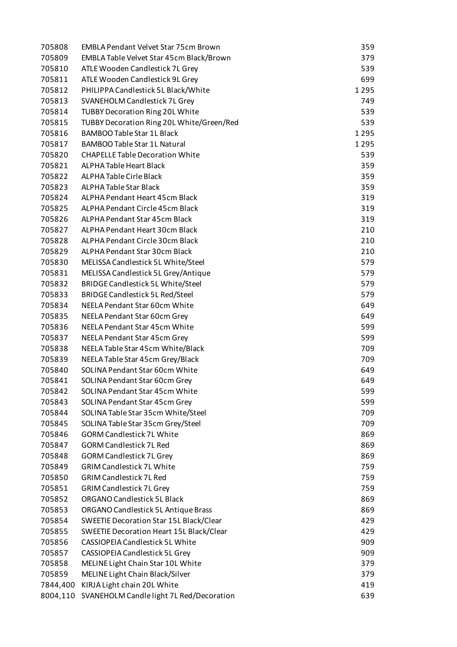| 705808   | <b>EMBLA Pendant Velvet Star 75cm Brown</b>       | 359  |
|----------|---------------------------------------------------|------|
| 705809   | EMBLA Table Velvet Star 45cm Black/Brown          | 379  |
| 705810   | ATLE Wooden Candlestick 7L Grey                   | 539  |
| 705811   | ATLE Wooden Candlestick 9L Grey                   | 699  |
| 705812   | PHILIPPA Candlestick 5L Black/White               | 1295 |
| 705813   | SVANEHOLM Candlestick 7L Grey                     | 749  |
| 705814   | <b>TUBBY Decoration Ring 20L White</b>            | 539  |
| 705815   | TUBBY Decoration Ring 20L White/Green/Red         | 539  |
| 705816   | BAMBOO Table Star 1L Black                        | 1295 |
| 705817   | <b>BAMBOO Table Star 1L Natural</b>               | 1295 |
| 705820   | <b>CHAPELLE Table Decoration White</b>            | 539  |
| 705821   | ALPHA Table Heart Black                           | 359  |
| 705822   | ALPHA Table Cirle Black                           | 359  |
| 705823   | ALPHA Table Star Black                            | 359  |
| 705824   | ALPHA Pendant Heart 45cm Black                    | 319  |
| 705825   | ALPHA Pendant Circle 45cm Black                   | 319  |
| 705826   | <b>ALPHA Pendant Star 45cm Black</b>              | 319  |
| 705827   | ALPHA Pendant Heart 30cm Black                    | 210  |
| 705828   | ALPHA Pendant Circle 30cm Black                   | 210  |
| 705829   | <b>ALPHA Pendant Star 30cm Black</b>              | 210  |
| 705830   | MELISSA Candlestick 5L White/Steel                | 579  |
| 705831   | MELISSA Candlestick 5L Grey/Antique               | 579  |
| 705832   | <b>BRIDGE Candlestick 5L White/Steel</b>          | 579  |
| 705833   | <b>BRIDGE Candlestick 5L Red/Steel</b>            | 579  |
| 705834   | NEELA Pendant Star 60cm White                     | 649  |
| 705835   | NEELA Pendant Star 60cm Grey                      | 649  |
| 705836   | NEELA Pendant Star 45cm White                     | 599  |
| 705837   | NEELA Pendant Star 45cm Grey                      | 599  |
| 705838   | NEELA Table Star 45cm White/Black                 | 709  |
| 705839   | NEELA Table Star 45cm Grey/Black                  | 709  |
| 705840   | SOLINA Pendant Star 60cm White                    | 649  |
| 705841   | SOLINA Pendant Star 60cm Grey                     | 649  |
| 705842   | SOLINA Pendant Star 45cm White                    | 599  |
| 705843   | SOLINA Pendant Star 45cm Grey                     | 599  |
| 705844   | SOLINA Table Star 35cm White/Steel                | 709  |
| 705845   | SOLINA Table Star 35cm Grey/Steel                 | 709  |
| 705846   | <b>GORM Candlestick 7L White</b>                  | 869  |
| 705847   | <b>GORM Candlestick 7L Red</b>                    | 869  |
| 705848   | <b>GORM Candlestick 7L Grey</b>                   | 869  |
| 705849   | <b>GRIM Candlestick 7L White</b>                  | 759  |
| 705850   | <b>GRIM Candlestick 7L Red</b>                    | 759  |
| 705851   | <b>GRIM Candlestick 7L Grey</b>                   | 759  |
| 705852   | ORGANO Candlestick 5L Black                       | 869  |
| 705853   | ORGANO Candlestick 5L Antique Brass               | 869  |
| 705854   | SWEETIE Decoration Star 15L Black/Clear           | 429  |
| 705855   | SWEETIE Decoration Heart 15L Black/Clear          | 429  |
| 705856   | <b>CASSIOPEIA Candlestick 5L White</b>            | 909  |
| 705857   | CASSIOPEIA Candlestick 5L Grey                    | 909  |
| 705858   | MELINE Light Chain Star 10L White                 | 379  |
| 705859   | MELINE Light Chain Black/Silver                   | 379  |
| 7844,400 | KIRJA Light chain 20L White                       | 419  |
|          | 8004,110 SVANEHOLM Candle light 7L Red/Decoration | 639  |
|          |                                                   |      |